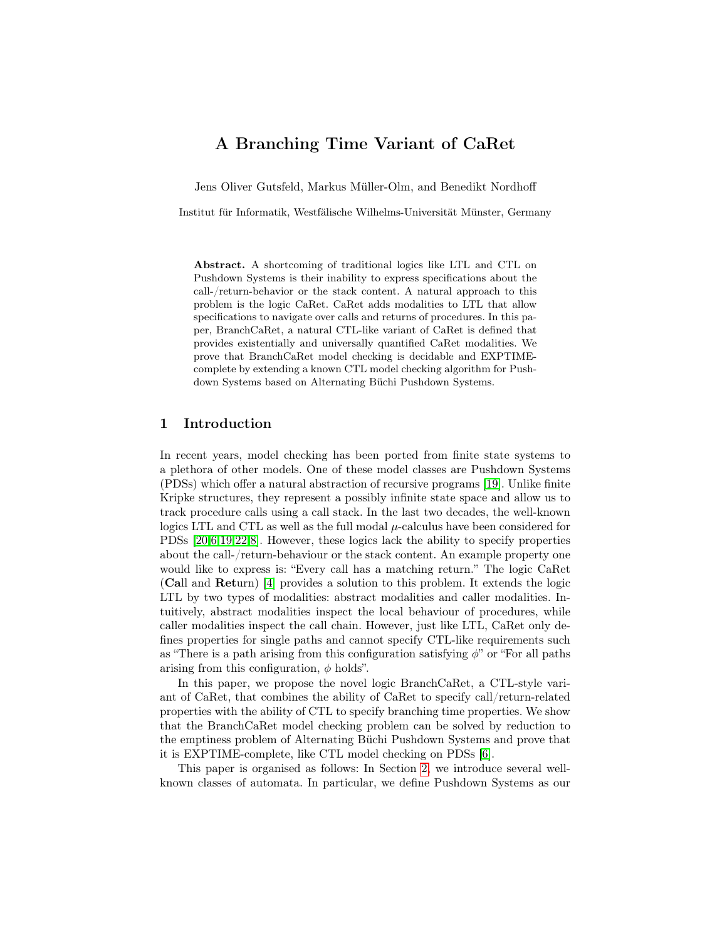# A Branching Time Variant of CaRet

Jens Oliver Gutsfeld, Markus Müller-Olm, and Benedikt Nordhoff

Institut für Informatik, Westfälische Wilhelms-Universität Münster, Germany

Abstract. A shortcoming of traditional logics like LTL and CTL on Pushdown Systems is their inability to express specifications about the call-/return-behavior or the stack content. A natural approach to this problem is the logic CaRet. CaRet adds modalities to LTL that allow specifications to navigate over calls and returns of procedures. In this paper, BranchCaRet, a natural CTL-like variant of CaRet is defined that provides existentially and universally quantified CaRet modalities. We prove that BranchCaRet model checking is decidable and EXPTIMEcomplete by extending a known CTL model checking algorithm for Pushdown Systems based on Alternating Büchi Pushdown Systems.

# <span id="page-0-0"></span>1 Introduction

In recent years, model checking has been ported from finite state systems to a plethora of other models. One of these model classes are Pushdown Systems (PDSs) which offer a natural abstraction of recursive programs [\[19\]](#page-16-0). Unlike finite Kripke structures, they represent a possibly infinite state space and allow us to track procedure calls using a call stack. In the last two decades, the well-known logics LTL and CTL as well as the full modal  $\mu$ -calculus have been considered for PDSs [\[20,](#page-16-1)[6](#page-16-2)[,19](#page-16-0)[,22,](#page-16-3)[8\]](#page-16-4). However, these logics lack the ability to specify properties about the call-/return-behaviour or the stack content. An example property one would like to express is: "Every call has a matching return." The logic CaRet (Call and Return) [\[4\]](#page-16-5) provides a solution to this problem. It extends the logic LTL by two types of modalities: abstract modalities and caller modalities. Intuitively, abstract modalities inspect the local behaviour of procedures, while caller modalities inspect the call chain. However, just like LTL, CaRet only defines properties for single paths and cannot specify CTL-like requirements such as "There is a path arising from this configuration satisfying  $\phi$ " or "For all paths" arising from this configuration,  $\phi$  holds".

In this paper, we propose the novel logic BranchCaRet, a CTL-style variant of CaRet, that combines the ability of CaRet to specify call/return-related properties with the ability of CTL to specify branching time properties. We show that the BranchCaRet model checking problem can be solved by reduction to the emptiness problem of Alternating Büchi Pushdown Systems and prove that it is EXPTIME-complete, like CTL model checking on PDSs [\[6\]](#page-16-2).

This paper is organised as follows: In Section [2,](#page-1-0) we introduce several wellknown classes of automata. In particular, we define Pushdown Systems as our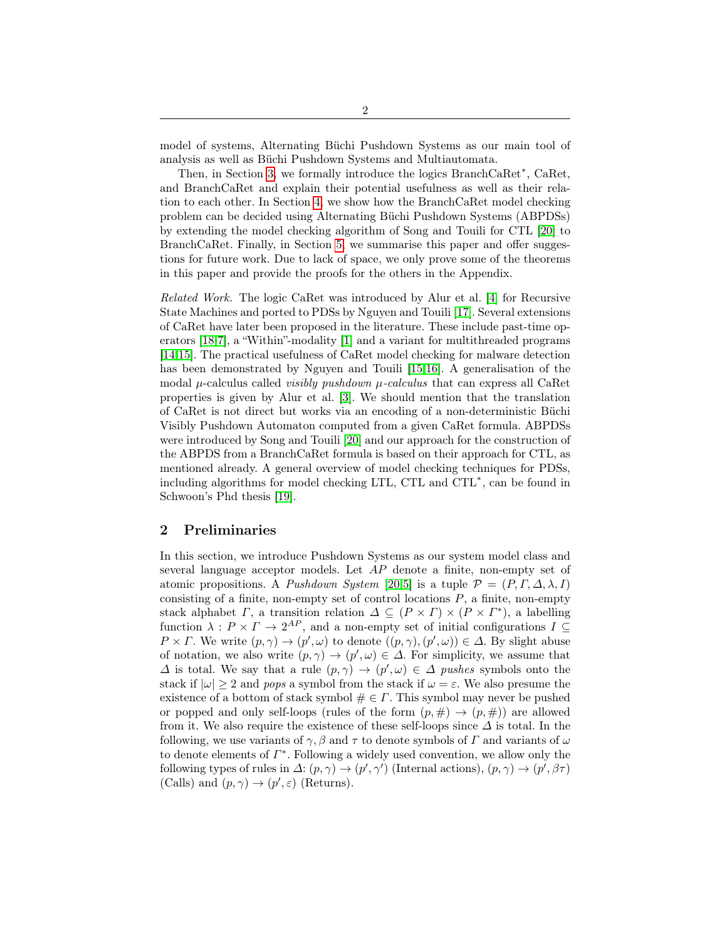model of systems, Alternating Büchi Pushdown Systems as our main tool of analysis as well as Büchi Pushdown Systems and Multiautomata.

Then, in Section [3,](#page-5-0) we formally introduce the logics BranchCaRet<sup>∗</sup> , CaRet, and BranchCaRet and explain their potential usefulness as well as their relation to each other. In Section [4,](#page-8-0) we show how the BranchCaRet model checking problem can be decided using Alternating Büchi Pushdown Systems (ABPDSs) by extending the model checking algorithm of Song and Touili for CTL [\[20\]](#page-16-1) to BranchCaRet. Finally, in Section [5,](#page-15-0) we summarise this paper and offer suggestions for future work. Due to lack of space, we only prove some of the theorems in this paper and provide the proofs for the others in the Appendix.

Related Work. The logic CaRet was introduced by Alur et al. [\[4\]](#page-16-5) for Recursive State Machines and ported to PDSs by Nguyen and Touili [\[17\]](#page-16-6). Several extensions of CaRet have later been proposed in the literature. These include past-time operators [\[18](#page-16-7)[,7\]](#page-16-8), a "Within"-modality [\[1\]](#page-15-1) and a variant for multithreaded programs [\[14](#page-16-9)[,15\]](#page-16-10). The practical usefulness of CaRet model checking for malware detection has been demonstrated by Nguyen and Touili [\[15,](#page-16-10)[16\]](#page-16-11). A generalisation of the modal  $\mu$ -calculus called *visibly pushdown*  $\mu$ -*calculus* that can express all CaRet properties is given by Alur et al. [\[3\]](#page-16-12). We should mention that the translation of CaRet is not direct but works via an encoding of a non-deterministic Büchi Visibly Pushdown Automaton computed from a given CaRet formula. ABPDSs were introduced by Song and Touili [\[20\]](#page-16-1) and our approach for the construction of the ABPDS from a BranchCaRet formula is based on their approach for CTL, as mentioned already. A general overview of model checking techniques for PDSs, including algorithms for model checking LTL, CTL and CTL<sup>∗</sup> , can be found in Schwoon's Phd thesis [\[19\]](#page-16-0).

## <span id="page-1-0"></span>2 Preliminaries

In this section, we introduce Pushdown Systems as our system model class and several language acceptor models. Let AP denote a finite, non-empty set of atomic propositions. A Pushdown System [\[20,](#page-16-1)[5\]](#page-16-13) is a tuple  $\mathcal{P} = (P, \Gamma, \Delta, \lambda, I)$ consisting of a finite, non-empty set of control locations  $P$ , a finite, non-empty stack alphabet  $\Gamma$ , a transition relation  $\Delta \subseteq (P \times \Gamma) \times (P \times \Gamma^*)$ , a labelling function  $\lambda: P \times \Gamma \to 2^{AP}$ , and a non-empty set of initial configurations  $I \subseteq$  $P \times \Gamma$ . We write  $(p, \gamma) \to (p', \omega)$  to denote  $((p, \gamma), (p', \omega)) \in \Delta$ . By slight abuse of notation, we also write  $(p, \gamma) \to (p', \omega) \in \Delta$ . For simplicity, we assume that  $\Delta$  is total. We say that a rule  $(p, \gamma) \to (p', \omega) \in \Delta$  pushes symbols onto the stack if  $|\omega| \geq 2$  and pops a symbol from the stack if  $\omega = \varepsilon$ . We also presume the existence of a bottom of stack symbol  $\# \in \Gamma$ . This symbol may never be pushed or popped and only self-loops (rules of the form  $(p, \#) \rightarrow (p, \#)$ ) are allowed from it. We also require the existence of these self-loops since  $\Delta$  is total. In the following, we use variants of  $\gamma$ ,  $\beta$  and  $\tau$  to denote symbols of  $\Gamma$  and variants of  $\omega$ to denote elements of  $\Gamma^*$ . Following a widely used convention, we allow only the following types of rules in  $\Delta: (p, \gamma) \to (p', \gamma')$  (Internal actions),  $(p, \gamma) \to (p', \beta \tau)$ (Calls) and  $(p, \gamma) \rightarrow (p', \varepsilon)$  (Returns).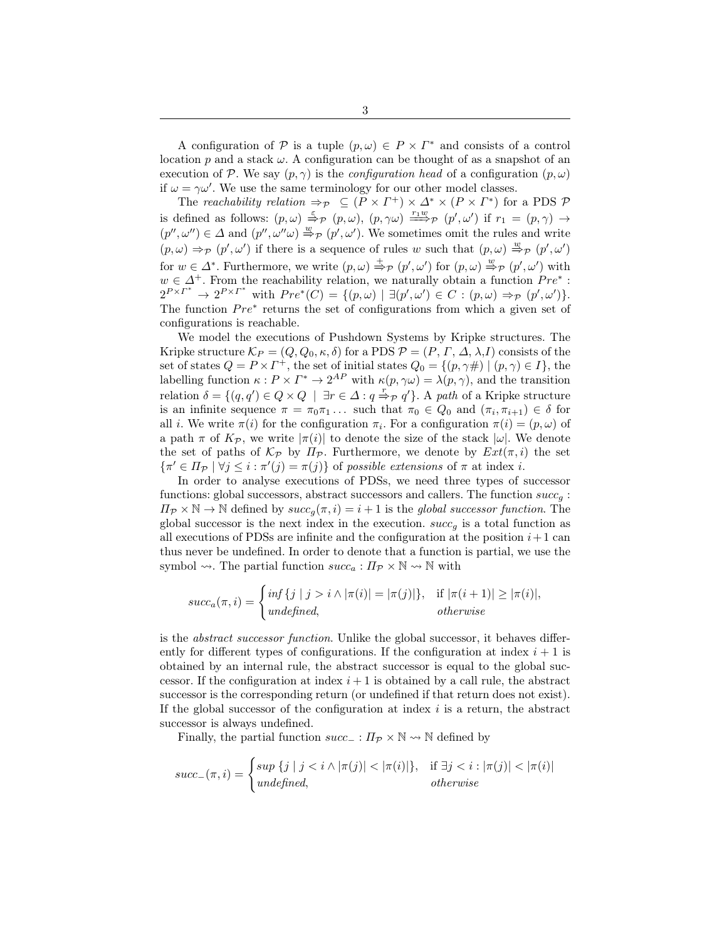A configuration of P is a tuple  $(p, \omega) \in P \times \Gamma^*$  and consists of a control location p and a stack  $\omega$ . A configuration can be thought of as a snapshot of an execution of P. We say  $(p, \gamma)$  is the *configuration head* of a configuration  $(p, \omega)$ if  $\omega = \gamma \omega'$ . We use the same terminology for our other model classes.

The reachability relation  $\Rightarrow_{\mathcal{P}} \subseteq (P \times \Gamma^+) \times \Delta^* \times (P \times \Gamma^*)$  for a PDS  $\mathcal{P}$ is defined as follows:  $(p, \omega) \stackrel{\varepsilon}{\Rightarrow} p (p, \omega)$ ,  $(p, \gamma\omega) \stackrel{r_1w}{\Longrightarrow} p (p', \omega')$  if  $r_1 = (p, \gamma) \rightarrow$  $(p'', \omega'') \in \Delta$  and  $(p'', \omega''\omega) \stackrel{w}{\Rightarrow}_{\mathcal{P}} (p', \omega')$ . We sometimes omit the rules and write  $(p, \omega) \Rightarrow_P (p', \omega')$  if there is a sequence of rules w such that  $(p, \omega) \stackrel{w}{\Rightarrow}_P (p', \omega')$ for  $w \in \Delta^*$ . Furthermore, we write  $(p, \omega) \stackrel{+}{\Rightarrow} p (p', \omega')$  for  $(p, \omega) \stackrel{w}{\Rightarrow} p (p', \omega')$  with  $w \in \Delta^+$ . From the reachability relation, we naturally obtain a function  $Pre^*$ :  $2^{P\times\Gamma^*} \rightarrow 2^{P\times\Gamma^*}$  with  $Pre^*(C) = \{(p,\omega) \mid \exists (p',\omega') \in C : (p,\omega) \Rightarrow_P (p',\omega')\}.$ The function  $Pre^*$  returns the set of configurations from which a given set of configurations is reachable.

We model the executions of Pushdown Systems by Kripke structures. The Kripke structure  $\mathcal{K}_P = (Q, Q_0, \kappa, \delta)$  for a PDS  $\mathcal{P} = (P, \Gamma, \Delta, \lambda, I)$  consists of the set of states  $Q = P \times \Gamma^+$ , the set of initial states  $Q_0 = \{(p, \gamma \#) \mid (p, \gamma) \in I\}$ , the labelling function  $\kappa: P \times \Gamma^* \to 2^{AP}$  with  $\kappa(p, \gamma \omega) = \lambda(p, \gamma)$ , and the transition relation  $\delta = \{(q, q') \in Q \times Q \mid \exists r \in \Delta : q \stackrel{r}{\Rightarrow}_{\mathcal{P}} q'\}.$  A path of a Kripke structure is an infinite sequence  $\pi = \pi_0 \pi_1 \dots$  such that  $\pi_0 \in Q_0$  and  $(\pi_i, \pi_{i+1}) \in \delta$  for all *i*. We write  $\pi(i)$  for the configuration  $\pi_i$ . For a configuration  $\pi(i) = (p, \omega)$  of a path  $\pi$  of  $K_{\mathcal{P}}$ , we write  $|\pi(i)|$  to denote the size of the stack  $|\omega|$ . We denote the set of paths of  $\mathcal{K}_{\mathcal{P}}$  by  $\Pi_{\mathcal{P}}$ . Furthermore, we denote by  $Ext(\pi, i)$  the set  $\{\pi' \in \Pi_{\mathcal{P}} \mid \forall j \leq i : \pi'(j) = \pi(j)\}\$  of possible extensions of  $\pi$  at index *i*.

In order to analyse executions of PDSs, we need three types of successor functions: global successors, abstract successors and callers. The function  $succ_a$ :  $\Pi_{\mathcal{P}} \times \mathbb{N} \to \mathbb{N}$  defined by  $succ_g(\pi, i) = i + 1$  is the global successor function. The global successor is the next index in the execution.  $succ_g$  is a total function as all executions of PDSs are infinite and the configuration at the position  $i+1$  can thus never be undefined. In order to denote that a function is partial, we use the symbol  $\rightsquigarrow$ . The partial function  $succ_a: \Pi_{\mathcal{P}} \times \mathbb{N} \rightsquigarrow \mathbb{N}$  with

$$
succ_a(\pi, i) = \begin{cases} inf \{j \mid j > i \land |\pi(i)| = |\pi(j)|\}, & \text{if } |\pi(i+1)| \ge |\pi(i)|, \\ undefined, & otherwise \end{cases}
$$

is the abstract successor function. Unlike the global successor, it behaves differently for different types of configurations. If the configuration at index  $i + 1$  is obtained by an internal rule, the abstract successor is equal to the global successor. If the configuration at index  $i+1$  is obtained by a call rule, the abstract successor is the corresponding return (or undefined if that return does not exist). If the global successor of the configuration at index  $i$  is a return, the abstract successor is always undefined.

Finally, the partial function  $succ_$ :  $\Pi_{\mathcal{P}} \times \mathbb{N} \rightarrow \mathbb{N}$  defined by

$$
succ_{-}(\pi,i) = \begin{cases} \sup \{j \mid j < i \land |\pi(j)| < |\pi(i)|\}, & \text{if } \exists j < i : |\pi(j)| < |\pi(i)| \\ \text{undefined}, & \text{otherwise} \end{cases}
$$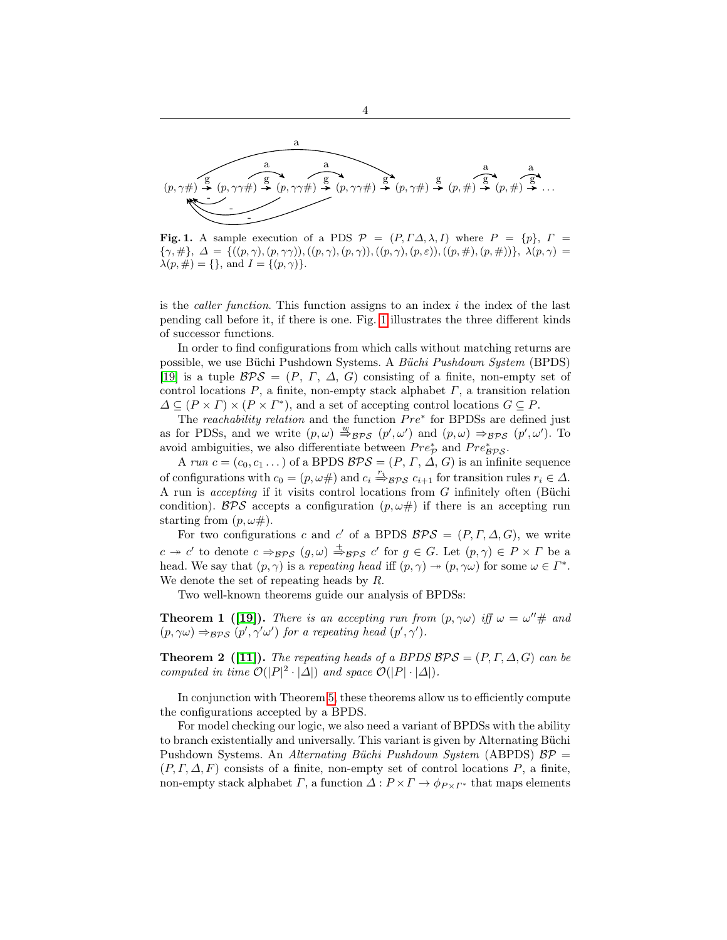

4

<span id="page-3-0"></span>Fig. 1. A sample execution of a PDS  $\mathcal{P} = (P, \Gamma \Delta, \lambda, I)$  where  $P = \{p\}, \Gamma =$  ${\gamma, \#}, \Delta = \{((p, \gamma), (p, \gamma\gamma)), ((p, \gamma), (p, \gamma)), ((p, \gamma), (p, \varepsilon)), ((p, \#), (p, \#))\}, \lambda(p, \gamma) =$  $\lambda(p, \#) = \{\}, \text{ and } I = \{(p, \gamma)\}.$ 

is the *caller function*. This function assigns to an index  $i$  the index of the last pending call before it, if there is one. Fig. [1](#page-3-0) illustrates the three different kinds of successor functions.

In order to find configurations from which calls without matching returns are possible, we use Büchi Pushdown Systems. A Büchi Pushdown System (BPDS) [\[19\]](#page-16-0) is a tuple  $BPS = (P, \Gamma, \Delta, G)$  consisting of a finite, non-empty set of control locations  $P$ , a finite, non-empty stack alphabet  $\Gamma$ , a transition relation  $\Delta \subseteq (P \times \Gamma) \times (P \times \Gamma^*)$ , and a set of accepting control locations  $G \subseteq P$ .

The reachability relation and the function  $Pre^*$  for BPDSs are defined just as for PDSs, and we write  $(p, \omega) \stackrel{w}{\Rightarrow}_{\mathcal{BPS}} (p', \omega')$  and  $(p, \omega) \Rightarrow_{\mathcal{BPS}} (p', \omega')$ . To avoid ambiguities, we also differentiate between  $Pre^*_{\mathcal{P}}$  and  $Pre^*_{\mathcal{BPS}}$ .

A run  $c = (c_0, c_1, \dots)$  of a BPDS  $\mathcal{BPS} = (P, \Gamma, \Delta, G)$  is an infinite sequence of configurations with  $c_0 = (p, \omega \#)$  and  $c_i \stackrel{r_i}{\Rightarrow} \beta \gamma s$   $c_{i+1}$  for transition rules  $r_i \in \Delta$ . A run is accepting if it visits control locations from G infinitely often (Büchi condition). BPS accepts a configuration  $(p, \omega \#)$  if there is an accepting run starting from  $(p, \omega \#)$ .

For two configurations c and c' of a BPDS  $BPS = (P, \Gamma, \Delta, G)$ , we write  $c \to c'$  to denote  $c \Rightarrow_{\mathcal{BPS}} (g,\omega) \stackrel{+}{\Rightarrow}_{\mathcal{BPS}} c'$  for  $g \in G$ . Let  $(p,\gamma) \in P \times \Gamma$  be a head. We say that  $(p, \gamma)$  is a repeating head iff  $(p, \gamma) \rightarrow (p, \gamma \omega)$  for some  $\omega \in \Gamma^*$ . We denote the set of repeating heads by  $R$ .

<span id="page-3-2"></span>Two well-known theorems guide our analysis of BPDSs:

**Theorem 1 ([\[19\]](#page-16-0)).** There is an accepting run from  $(p, \gamma\omega)$  iff  $\omega = \omega'' \#$  and  $(p, \gamma\omega) \Rightarrow_{\mathcal{BPS}} (p', \gamma'\omega')$  for a repeating head  $(p', \gamma')$ .

<span id="page-3-1"></span>**Theorem 2** ([\[11\]](#page-16-14)). The repeating heads of a BPDS  $BPS = (P, \Gamma, \Delta, G)$  can be computed in time  $\mathcal{O}(|P|^2 \cdot |\Delta|)$  and space  $\mathcal{O}(|P| \cdot |\Delta|)$ .

In conjunction with Theorem [5,](#page-5-1) these theorems allow us to efficiently compute the configurations accepted by a BPDS.

For model checking our logic, we also need a variant of BPDSs with the ability to branch existentially and universally. This variant is given by Alternating Büchi Pushdown Systems. An Alternating Büchi Pushdown System (ABPDS)  $BP =$  $(P, \Gamma, \Delta, F)$  consists of a finite, non-empty set of control locations P, a finite, non-empty stack alphabet  $\Gamma$ , a function  $\Delta: P \times \Gamma \to \phi_{P \times \Gamma^*}$  that maps elements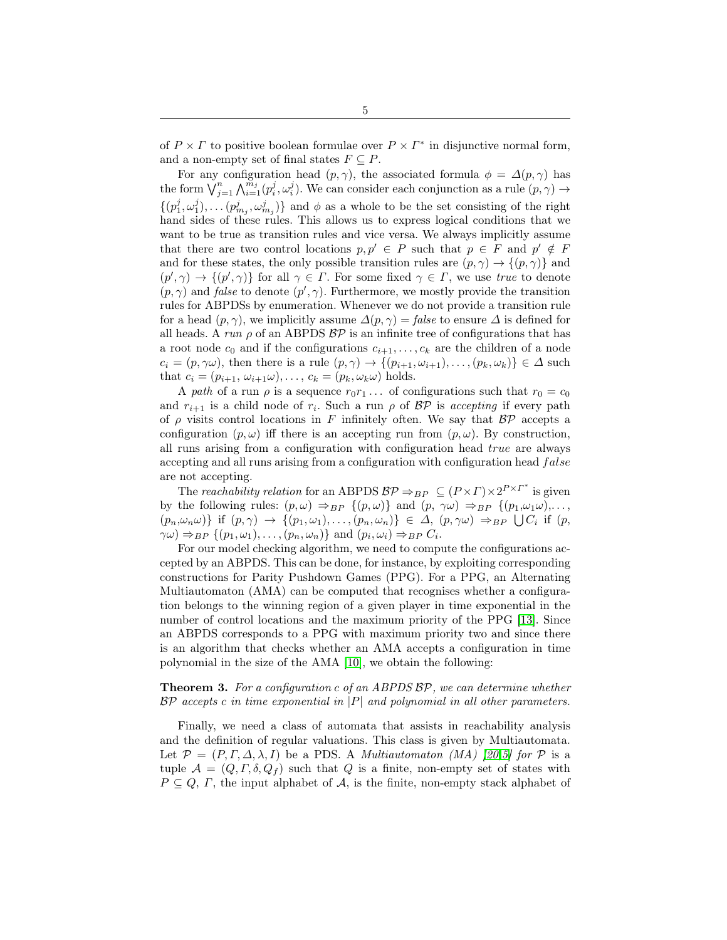of  $P \times \Gamma$  to positive boolean formulae over  $P \times \Gamma^*$  in disjunctive normal form, and a non-empty set of final states  $F \subseteq P$ .

For any configuration head  $(p, \gamma)$ , the associated formula  $\phi = \Delta(p, \gamma)$  has the form  $\bigvee_{j=1}^{n} \bigwedge_{i=1}^{m_j} (p_i^j, \omega_i^j)$ . We can consider each conjunction as a rule  $(p, \gamma) \rightarrow$  $\{(p_1^j, \omega_1^j), \ldots (p_{m_j}^j, \omega_{m_j}^j)\}\$ and  $\phi$  as a whole to be the set consisting of the right hand sides of these rules. This allows us to express logical conditions that we want to be true as transition rules and vice versa. We always implicitly assume that there are two control locations  $p, p' \in P$  such that  $p \in F$  and  $p' \notin F$ and for these states, the only possible transition rules are  $(p, \gamma) \rightarrow \{(p, \gamma)\}\$ and  $(p', \gamma) \to \{(p', \gamma)\}\$ for all  $\gamma \in \Gamma$ . For some fixed  $\gamma \in \Gamma$ , we use true to denote  $(p, \gamma)$  and *false* to denote  $(p', \gamma)$ . Furthermore, we mostly provide the transition rules for ABPDSs by enumeration. Whenever we do not provide a transition rule for a head  $(p, \gamma)$ , we implicitly assume  $\Delta(p, \gamma) = false$  to ensure  $\Delta$  is defined for all heads. A run  $\rho$  of an ABPDS  $BP$  is an infinite tree of configurations that has a root node  $c_0$  and if the configurations  $c_{i+1}, \ldots, c_k$  are the children of a node  $c_i = (p, \gamma\omega)$ , then there is a rule  $(p, \gamma) \rightarrow \{(p_{i+1}, \omega_{i+1}), \ldots, (p_k, \omega_k)\}\in \Delta$  such that  $c_i = (p_{i+1}, \omega_{i+1}\omega), \ldots, c_k = (p_k, \omega_k\omega)$  holds.

A path of a run  $\rho$  is a sequence  $r_0r_1...$  of configurations such that  $r_0 = c_0$ and  $r_{i+1}$  is a child node of  $r_i$ . Such a run  $\rho$  of  $\beta \mathcal{P}$  is accepting if every path of  $\rho$  visits control locations in F infinitely often. We say that  $\beta \mathcal{P}$  accepts a configuration  $(p, \omega)$  iff there is an accepting run from  $(p, \omega)$ . By construction, all runs arising from a configuration with configuration head true are always accepting and all runs arising from a configuration with configuration head  $false$ are not accepting.

The reachability relation for an ABPDS  $BP \Rightarrow_{BP} \subseteq (P \times \Gamma) \times 2^{P \times \Gamma^*}$  is given by the following rules:  $(p, \omega) \Rightarrow_{BP} \{(p, \omega)\}\$ and  $(p, \gamma\omega) \Rightarrow_{BP} \{(p_1, \omega_1\omega), \ldots, p_k\}$  $(p_n, \omega_n \omega)$ } if  $(p, \gamma) \rightarrow \{(p_1, \omega_1), \ldots, (p_n, \omega_n)\}\in \Delta, (p, \gamma\omega) \Rightarrow_{BP} \bigcup C_i$  if  $(p, \gamma)$  $\gamma\omega$ )  $\Rightarrow_{BP} \{ (p_1,\omega_1), \ldots, (p_n,\omega_n) \}$  and  $(p_i,\omega_i) \Rightarrow_{BP} C_i$ .

For our model checking algorithm, we need to compute the configurations accepted by an ABPDS. This can be done, for instance, by exploiting corresponding constructions for Parity Pushdown Games (PPG). For a PPG, an Alternating Multiautomaton (AMA) can be computed that recognises whether a configuration belongs to the winning region of a given player in time exponential in the number of control locations and the maximum priority of the PPG [\[13\]](#page-16-15). Since an ABPDS corresponds to a PPG with maximum priority two and since there is an algorithm that checks whether an AMA accepts a configuration in time polynomial in the size of the AMA [\[10\]](#page-16-16), we obtain the following:

## <span id="page-4-0"></span>**Theorem 3.** For a configuration c of an ABPDS  $BP$ , we can determine whether  $BP$  accepts c in time exponential in  $|P|$  and polynomial in all other parameters.

Finally, we need a class of automata that assists in reachability analysis and the definition of regular valuations. This class is given by Multiautomata. Let  $\mathcal{P} = (P, \Gamma, \Delta, \lambda, I)$  be a PDS. A *Multiautomaton (MA) [\[20,](#page-16-1)[5\]](#page-16-13) for*  $\mathcal{P}$  is a tuple  $\mathcal{A} = (Q, \Gamma, \delta, Q_f)$  such that Q is a finite, non-empty set of states with  $P \subseteq Q$ ,  $\Gamma$ , the input alphabet of  $\mathcal{A}$ , is the finite, non-empty stack alphabet of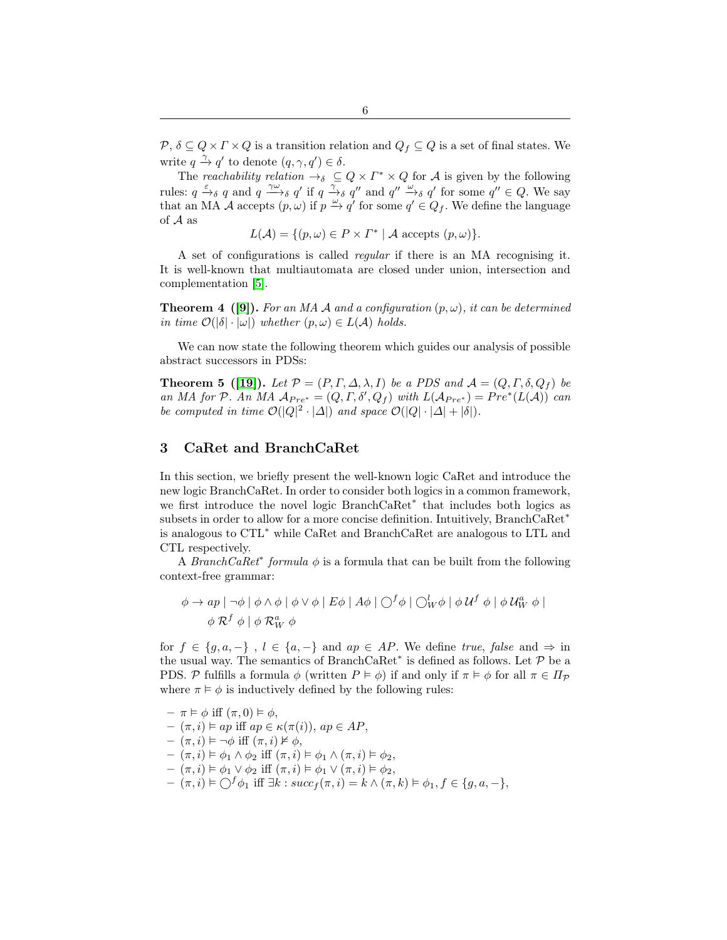$P, \delta \subseteq Q \times \Gamma \times Q$  is a transition relation and  $Q_f \subseteq Q$  is a set of final states. We write  $q \stackrel{\gamma}{\rightarrow} q'$  to denote  $(q, \gamma, q') \in \delta$ .

The reachability relation  $\rightarrow_{\delta} \subseteq Q \times \Gamma^* \times Q$  for A is given by the following rules:  $q \xrightarrow{\varepsilon} q$  and  $q \xrightarrow{\gamma\omega} q$  if  $q \xrightarrow{\gamma} q$  and  $q'' \xrightarrow{\omega} q$  for some  $q'' \in Q$ . We say that an MA A accepts  $(p, \omega)$  if  $p \stackrel{\omega}{\rightarrow} q'$  for some  $q' \in Q_f$ . We define the language of A as

<span id="page-5-1"></span> $L(\mathcal{A}) = \{ (p, \omega) \in P \times \Gamma^* \mid \mathcal{A} \text{ accepts } (p, \omega) \}.$ 

A set of configurations is called regular if there is an MA recognising it. It is well-known that multiautomata are closed under union, intersection and complementation [\[5\]](#page-16-13).

<span id="page-5-2"></span>**Theorem 4 ([\[9\]](#page-16-17)).** For an MA A and a configuration  $(p, \omega)$ , it can be determined in time  $\mathcal{O}(|\delta| \cdot |\omega|)$  whether  $(p, \omega) \in L(\mathcal{A})$  holds.

We can now state the following theorem which guides our analysis of possible abstract successors in PDSs:

**Theorem 5 ([\[19\]](#page-16-0)).** Let  $\mathcal{P} = (P, \Gamma, \Delta, \lambda, I)$  be a PDS and  $\mathcal{A} = (Q, \Gamma, \delta, Q_f)$  be an MA for P. An MA  $A_{Pre^*} = (Q, \Gamma, \delta', Q_f)$  with  $L(A_{Pre^*}) = Pre^*(L(A))$  can be computed in time  $\mathcal{O}(|Q|^2 \cdot |\Delta|)$  and space  $\mathcal{O}(|Q| \cdot |\Delta| + |\delta|)$ .

## <span id="page-5-0"></span>3 CaRet and BranchCaRet

In this section, we briefly present the well-known logic CaRet and introduce the new logic BranchCaRet. In order to consider both logics in a common framework, we first introduce the novel logic BranchCaRet<sup>∗</sup> that includes both logics as subsets in order to allow for a more concise definition. Intuitively, BranchCaRet<sup>∗</sup> is analogous to CTL<sup>∗</sup> while CaRet and BranchCaRet are analogous to LTL and CTL respectively.

A *BranchCaRet<sup>\*</sup>* formula  $\phi$  is a formula that can be built from the following context-free grammar:

$$
\phi \to ap \mid \neg \phi \mid \phi \land \phi \mid \phi \lor \phi \mid E\phi \mid A\phi \mid \bigcirc^{f} \phi \mid \bigcirc^{l} w \phi \mid \phi \cup^{f} \phi \mid \phi \cup^{a} w \phi \mid
$$
  

$$
\phi \mathcal{R}^{f} \phi \mid \phi \mathcal{R}_{W}^{\alpha} \phi
$$

for  $f \in \{g, a, -\}$ ,  $l \in \{a, -\}$  and  $ap \in AP$ . We define true, false and  $\Rightarrow$  in the usual way. The semantics of BranchCaRet<sup>\*</sup> is defined as follows. Let  $P$  be a PDS. P fulfills a formula  $\phi$  (written  $P \models \phi$ ) if and only if  $\pi \models \phi$  for all  $\pi \in \Pi_{\mathcal{P}}$ where  $\pi \models \phi$  is inductively defined by the following rules:

$$
\begin{aligned}\n&-\pi \vDash \phi \text{ iff } (\pi, 0) \vDash \phi, \\
&-\left(\pi, i\right) \vDash ap \text{ iff } ap \in \kappa(\pi(i)), ap \in AP, \\
&-\left(\pi, i\right) \vDash \neg \phi \text{ iff } (\pi, i) \nvDash \phi, \\
&-\left(\pi, i\right) \vDash \phi_1 \land \phi_2 \text{ iff } (\pi, i) \vDash \phi_1 \land (\pi, i) \vDash \phi_2, \\
&-\left(\pi, i\right) \vDash \phi_1 \lor \phi_2 \text{ iff } (\pi, i) \vDash \phi_1 \lor (\pi, i) \vDash \phi_2, \\
&-\left(\pi, i\right) \vDash \bigcirc^f \phi_1 \text{ iff } \exists k : succ_f(\pi, i) = k \land (\pi, k) \vDash \phi_1, f \in \{g, a, -\},\n\end{aligned}
$$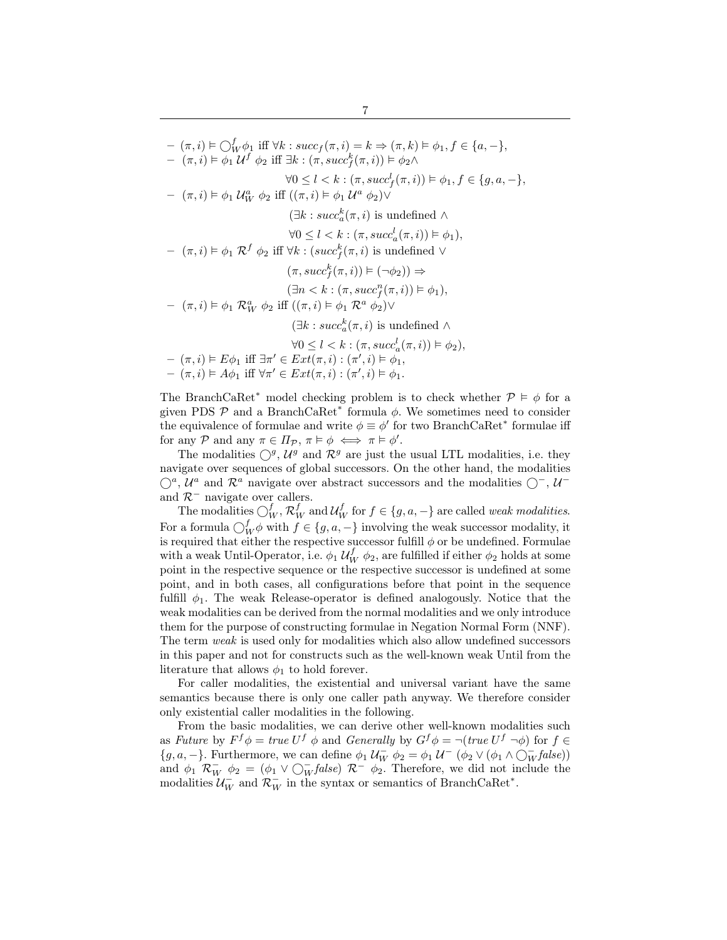# $(\pi, i) \vDash \bigcirc^f_W \phi_1$  iff  $\forall k : succ_f(\pi, i) = k \Rightarrow (\pi, k) \vDash \phi_1, f \in \{a, -\},\$  $(\pi, i) \models \phi_1 \mathcal{U}^f \phi_2$  iff  $\exists k : (\pi, succ_f^k(\pi, i)) \models \phi_2 \land$  $\forall 0 \leq l < k : (\pi, succ_f^l(\pi,i)) \models \phi_1, f \in \{g, a, -\},\$  $(\pi, i) \models \phi_1 \mathcal{U}_W^a \phi_2$  iff  $((\pi, i) \models \phi_1 \mathcal{U}^a \phi_2) \vee$  $(\exists k : succ_a^k(\pi, i)$  is undefined  $\wedge$  $\forall 0 \leq l < k : (\pi, succ_a^l(\pi,i)) \models \phi_1),$  $(\pi, i) \models \phi_1 \mathcal{R}^f \phi_2$  iff  $\forall k : (succ_f^k(\pi, i)$  is undefined  $\vee$  $(\pi, succ_f^k(\pi,i)) \models (\neg \phi_2)) \Rightarrow$  $(\exists n < k : (\pi, succ_f^n(\pi, i)) \vDash \phi_1),$  $(\pi, i) \models \phi_1 \mathcal{R}_W^a \phi_2$  iff  $((\pi, i) \models \phi_1 \mathcal{R}^a \phi_2) \vee$  $(\exists k : succ_a^k(\pi, i)$  is undefined  $\wedge$  $\forall 0 \leq l < k : (\pi, succ_a^l(\pi,i)) \models \phi_2),$  $(\pi, i) \vDash E\phi_1$  iff  $\exists \pi' \in Ext(\pi, i) : (\pi', i) \vDash \phi_1$ ,  $(\pi, i) \vDash A\phi_1$  iff  $\forall \pi' \in Ext(\pi, i) : (\pi', i) \vDash \phi_1$ .

The BranchCaRet<sup>\*</sup> model checking problem is to check whether  $\mathcal{P} \models \phi$  for a given PDS  $P$  and a BranchCaRet<sup>\*</sup> formula  $\phi$ . We sometimes need to consider the equivalence of formulae and write  $\phi \equiv \phi'$  for two BranchCaRet<sup>\*</sup> formulae iff for any P and any  $\pi \in \Pi_{\mathcal{P}}$ ,  $\pi \models \phi \iff \pi \models \phi'$ .

The modalities  $\bigcirc^g$ ,  $\mathcal{U}^g$  and  $\mathcal{R}^g$  are just the usual LTL modalities, i.e. they navigate over sequences of global successors. On the other hand, the modalities  $\bigcirc^a$ ,  $\mathcal{U}^a$  and  $\mathcal{R}^a$  navigate over abstract successors and the modalities  $\bigcirc^-$ ,  $\mathcal{U}^$ and  $\mathcal{R}^-$  navigate over callers.

The modalities  $\bigcirc_W^f$ ,  $\mathcal{R}_W^f$  and  $\mathcal{U}_W^f$  for  $f \in \{g, a, -\}$  are called *weak modalities.* For a formula  $\bigcirc^f_W \phi$  with  $f \in \{g, a, -\}$  involving the weak successor modality, it is required that either the respective successor fulfill  $\phi$  or be undefined. Formulae with a weak Until-Operator, i.e.  $\phi_1 \mathcal{U}_W^f \phi_2$ , are fulfilled if either  $\phi_2$  holds at some point in the respective sequence or the respective successor is undefined at some point, and in both cases, all configurations before that point in the sequence fulfill  $\phi_1$ . The weak Release-operator is defined analogously. Notice that the weak modalities can be derived from the normal modalities and we only introduce them for the purpose of constructing formulae in Negation Normal Form (NNF). The term weak is used only for modalities which also allow undefined successors in this paper and not for constructs such as the well-known weak Until from the literature that allows  $\phi_1$  to hold forever.

For caller modalities, the existential and universal variant have the same semantics because there is only one caller path anyway. We therefore consider only existential caller modalities in the following.

From the basic modalities, we can derive other well-known modalities such as Future by  $F^f \phi = \text{true } U^f \phi$  and Generally by  $G^f \phi = \neg(\text{true } U^f \neg \phi)$  for  $f \in$  ${g, a, -}$ . Furthermore, we can define  $\phi_1 U_W^{\dagger} \phi_2 = \phi_1 U^{\dagger} (\phi_2 \vee (\phi_1 \wedge \bigcirc_W^{\dagger} false))$ and  $\phi_1 \mathcal{R}_{W}^ \phi_2 = (\phi_1 \vee \bigcirc_{W}^- false) \mathcal{R}_{W}^ \phi_2$ . Therefore, we did not include the modalities  $\mathcal{U}_W^-$  and  $\mathcal{R}_W^-$  in the syntax or semantics of BranchCaRet<sup>\*</sup>.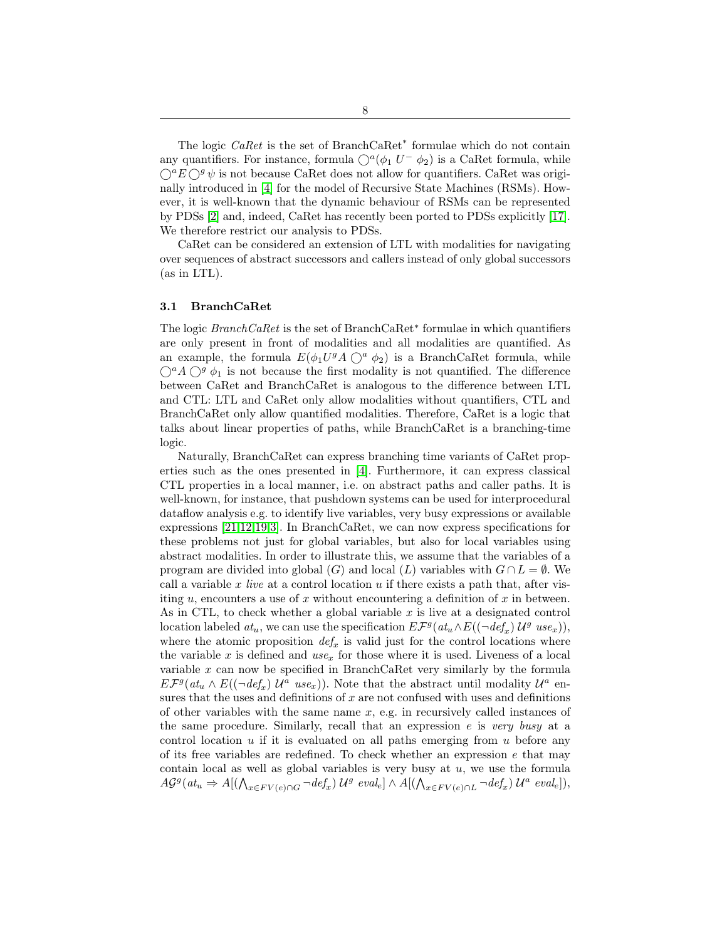The logic *CaRet* is the set of BranchCaRet<sup>\*</sup> formulae which do not contain any quantifiers. For instance, formula  $\bigcirc^a(\phi_1 U^- \phi_2)$  is a CaRet formula, while  $\bigcirc^a E \bigcirc^g \psi$  is not because CaRet does not allow for quantifiers. CaRet was originally introduced in [\[4\]](#page-16-5) for the model of Recursive State Machines (RSMs). However, it is well-known that the dynamic behaviour of RSMs can be represented by PDSs [\[2\]](#page-16-18) and, indeed, CaRet has recently been ported to PDSs explicitly [\[17\]](#page-16-6). We therefore restrict our analysis to PDSs.

CaRet can be considered an extension of LTL with modalities for navigating over sequences of abstract successors and callers instead of only global successors (as in LTL).

## 3.1 BranchCaRet

The logic *BranchCaRet* is the set of BranchCaRet<sup>\*</sup> formulae in which quantifiers are only present in front of modalities and all modalities are quantified. As an example, the formula  $E(\phi_1 U^g A \bigcirc^a \phi_2)$  is a BranchCaRet formula, while  $\bigcirc^a A \bigcirc^g \phi_1$  is not because the first modality is not quantified. The difference between CaRet and BranchCaRet is analogous to the difference between LTL and CTL: LTL and CaRet only allow modalities without quantifiers, CTL and BranchCaRet only allow quantified modalities. Therefore, CaRet is a logic that talks about linear properties of paths, while BranchCaRet is a branching-time logic.

Naturally, BranchCaRet can express branching time variants of CaRet properties such as the ones presented in [\[4\]](#page-16-5). Furthermore, it can express classical CTL properties in a local manner, i.e. on abstract paths and caller paths. It is well-known, for instance, that pushdown systems can be used for interprocedural dataflow analysis e.g. to identify live variables, very busy expressions or available expressions [\[21](#page-16-19)[,12,](#page-16-20)[19,](#page-16-0)[3\]](#page-16-12). In BranchCaRet, we can now express specifications for these problems not just for global variables, but also for local variables using abstract modalities. In order to illustrate this, we assume that the variables of a program are divided into global (G) and local (L) variables with  $G \cap L = \emptyset$ . We call a variable x live at a control location  $u$  if there exists a path that, after visiting  $u$ , encounters a use of  $x$  without encountering a definition of  $x$  in between. As in CTL, to check whether a global variable  $x$  is live at a designated control location labeled  $at_u$ , we can use the specification  $E\mathcal{F}^g(at_u \wedge E((\neg def_x) \mathcal{U}^g\ use_x)),$ where the atomic proposition  $def_x$  is valid just for the control locations where the variable x is defined and use<sub>x</sub> for those where it is used. Liveness of a local variable x can now be specified in BranchCaRet very similarly by the formula  $E\mathcal{F}^g(at_u \wedge E((\neg def_x) \mathcal{U}^a \text{ use}_x)).$  Note that the abstract until modality  $\mathcal{U}^a$  ensures that the uses and definitions of  $x$  are not confused with uses and definitions of other variables with the same name  $x$ , e.g. in recursively called instances of the same procedure. Similarly, recall that an expression  $e$  is very busy at a control location  $u$  if it is evaluated on all paths emerging from  $u$  before any of its free variables are redefined. To check whether an expression  $e$  that may contain local as well as global variables is very busy at  $u$ , we use the formula  $AG^g(at_u \Rightarrow A[(\bigwedge_{x \in FV(e) \cap G} \neg def_x) \cup g \text{ eval}_e] \wedge A[(\bigwedge_{x \in FV(e) \cap L} \neg def_x) \cup g \text{ eval}_e]),$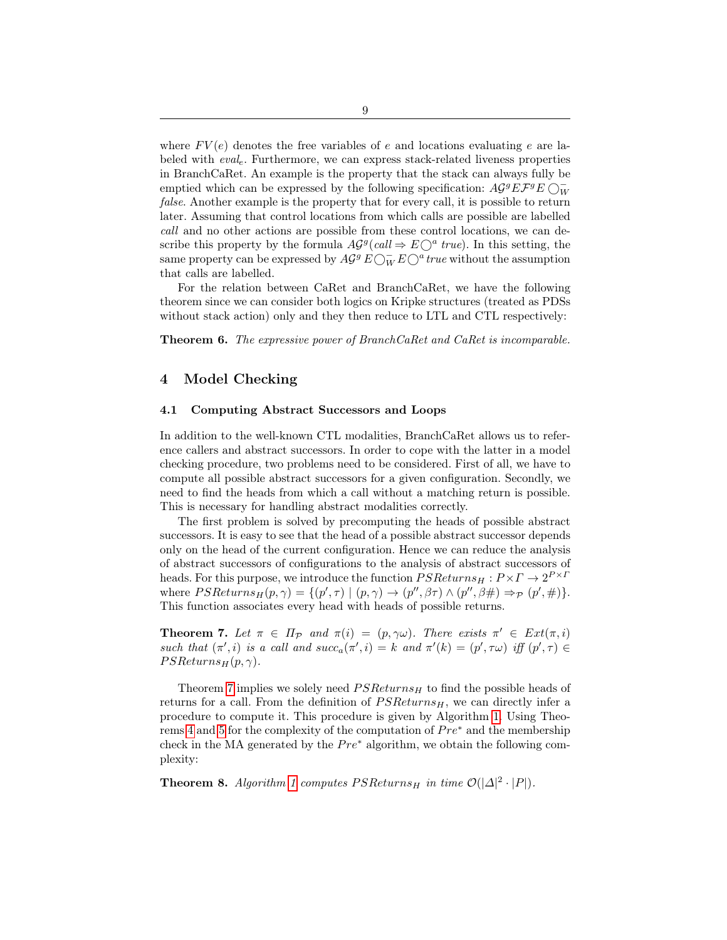where  $FV(e)$  denotes the free variables of e and locations evaluating e are labeled with  $eval_e$ . Furthermore, we can express stack-related liveness properties in BranchCaRet. An example is the property that the stack can always fully be emptied which can be expressed by the following specification:  $\widehat{AG}^gE\mathcal{F}^gE\bigcirc_W^{\perp}$ false. Another example is the property that for every call, it is possible to return later. Assuming that control locations from which calls are possible are labelled call and no other actions are possible from these control locations, we can describe this property by the formula  $AG^g(call \Rightarrow E\bigcirc^a true)$ . In this setting, the same property can be expressed by  $A\mathcal{G}^g E \bigcirc^-_W E \bigcirc^a true$  without the assumption that calls are labelled.

For the relation between CaRet and BranchCaRet, we have the following theorem since we can consider both logics on Kripke structures (treated as PDSs without stack action) only and they then reduce to LTL and CTL respectively:

Theorem 6. The expressive power of BranchCaRet and CaRet is incomparable.

# <span id="page-8-0"></span>4 Model Checking

### 4.1 Computing Abstract Successors and Loops

In addition to the well-known CTL modalities, BranchCaRet allows us to reference callers and abstract successors. In order to cope with the latter in a model checking procedure, two problems need to be considered. First of all, we have to compute all possible abstract successors for a given configuration. Secondly, we need to find the heads from which a call without a matching return is possible. This is necessary for handling abstract modalities correctly.

The first problem is solved by precomputing the heads of possible abstract successors. It is easy to see that the head of a possible abstract successor depends only on the head of the current configuration. Hence we can reduce the analysis of abstract successors of configurations to the analysis of abstract successors of heads. For this purpose, we introduce the function  $PSReturns_H : P \times \Gamma \rightarrow 2^{P \times P}$ where  $PSReturns_H(p, \gamma) = \{ (p', \tau) \mid (p, \gamma) \rightarrow (p'', \beta \tau) \land (p'', \beta \#) \Rightarrow_{\mathcal{P}} (p', \#) \}.$ This function associates every head with heads of possible returns.

<span id="page-8-1"></span>**Theorem 7.** Let  $\pi \in \Pi_{\mathcal{P}}$  and  $\pi(i) = (p, \gamma \omega)$ . There exists  $\pi' \in Ext(\pi, i)$ such that  $(\pi', i)$  is a call and  $succ_a(\pi', i) = k$  and  $\pi'(k) = (p', \tau\omega)$  iff  $(p', \tau) \in$  $PSReturns_H(p, \gamma).$ 

Theorem [7](#page-8-1) implies we solely need  $PSReturns_H$  to find the possible heads of returns for a call. From the definition of  $PSReturns_H$ , we can directly infer a procedure to compute it. This procedure is given by Algorithm [1.](#page-9-0) Using Theo-rems [4](#page-5-2) and [5](#page-5-1) for the complexity of the computation of  $Pre^*$  and the membership check in the MA generated by the  $Pre^*$  algorithm, we obtain the following complexity:

<span id="page-8-2"></span>**Theorem 8.** Algorithm [1](#page-9-0) computes  $PSReturns_H$  in time  $\mathcal{O}(|\Delta|^2 \cdot |P|)$ .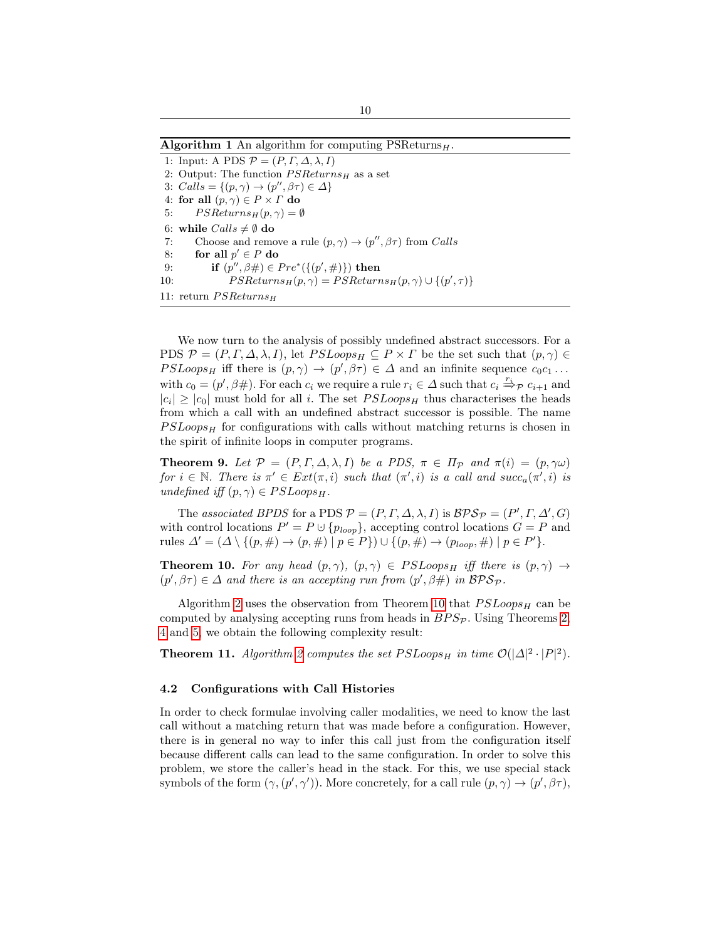<span id="page-9-0"></span>

|  |  |  |  |  | <b>Algorithm 1</b> An algorithm for computing $PSReturns_H$ . |
|--|--|--|--|--|---------------------------------------------------------------|
|--|--|--|--|--|---------------------------------------------------------------|

1: Input: A PDS  $P = (P, \Gamma, \Delta, \lambda, I)$ 2: Output: The function  $PSReturns_H$  as a set 3:  $Calls = \{(p, \gamma) \rightarrow (p'', \beta \tau) \in \Delta\}$ 4: for all  $(p, \gamma) \in P \times \Gamma$  do 5:  $PSReturns_H(p, \gamma) = \emptyset$ 6: while  $Calls \neq \emptyset$  do 7: Choose and remove a rule  $(p, \gamma) \rightarrow (p'', \beta \tau)$  from Calls 8: for all  $p' \in P$  do 9: **if**  $(p'', \beta \#) \in Pre^*(\{(p', \#)\})$  then 10:  $PSReturns_H(p, \gamma) = PS Returns_H(p, \gamma) \cup \{(p', \tau)\}$ 11: return  $PSReturns_H$ 

We now turn to the analysis of possibly undefined abstract successors. For a PDS  $\mathcal{P} = (P, \Gamma, \Delta, \lambda, I)$ , let  $PSLoops_H \subseteq P \times \Gamma$  be the set such that  $(p, \gamma) \in$  $PSLoops_H$  iff there is  $(p, \gamma) \to (p', \beta \tau) \in \Delta$  and an infinite sequence  $c_0c_1 \dots$ with  $c_0 = (p', \beta\#)$ . For each  $c_i$  we require a rule  $r_i \in \Delta$  such that  $c_i \stackrel{\tau_i}{\Rightarrow} p c_{i+1}$  and  $|c_i| \geq |c_0|$  must hold for all i. The set  $PSLoops_H$  thus characterises the heads from which a call with an undefined abstract successor is possible. The name  $PSLoops_H$  for configurations with calls without matching returns is chosen in the spirit of infinite loops in computer programs.

**Theorem 9.** Let  $\mathcal{P} = (P, \Gamma, \Delta, \lambda, I)$  be a PDS,  $\pi \in \Pi_{\mathcal{P}}$  and  $\pi(i) = (p, \gamma\omega)$ for  $i \in \mathbb{N}$ . There is  $\pi' \in Ext(\pi, i)$  such that  $(\pi', i)$  is a call and succ<sub>a</sub> $(\pi', i)$  is undefined iff  $(p, \gamma) \in PSLoops_H$ .

The associated BPDS for a PDS  $P = (P, \Gamma, \Delta, \lambda, I)$  is  $BPS_P = (P', \Gamma, \Delta', G)$ with control locations  $P' = P \cup \{p_{loop}\}\text{, accepting control locations } G = P \text{ and }$ rules  $\Delta' = (\Delta \setminus \{(p, \#) \to (p, \#) \mid p \in P\}) \cup \{(p, \#) \to (p_{loop}, \#) \mid p \in P'\}.$ 

<span id="page-9-1"></span>**Theorem 10.** For any head  $(p, \gamma)$ ,  $(p, \gamma) \in PSLoops_H$  iff there is  $(p, \gamma) \rightarrow$  $(p', \beta \tau) \in \Delta$  and there is an accepting run from  $(p', \beta \#)$  in  $\mathcal{BPS}_{\mathcal{P}}$ .

Algorithm [2](#page-10-0) uses the observation from Theorem [10](#page-9-1) that  $PSLoops<sub>H</sub>$  can be computed by analysing accepting runs from heads in  $BPS_{\mathcal{P}}$ . Using Theorems [2,](#page-3-1) [4](#page-5-2) and [5,](#page-5-1) we obtain the following complexity result:

<span id="page-9-2"></span>**Theorem 11.** Algorithm [2](#page-10-0) computes the set  $PSLoops_H$  in time  $\mathcal{O}(|\Delta|^2 \cdot |P|^2)$ .

#### 4.2 Configurations with Call Histories

In order to check formulae involving caller modalities, we need to know the last call without a matching return that was made before a configuration. However, there is in general no way to infer this call just from the configuration itself because different calls can lead to the same configuration. In order to solve this problem, we store the caller's head in the stack. For this, we use special stack symbols of the form  $(\gamma, (p', \gamma'))$ . More concretely, for a call rule  $(p, \gamma) \to (p', \beta \tau)$ ,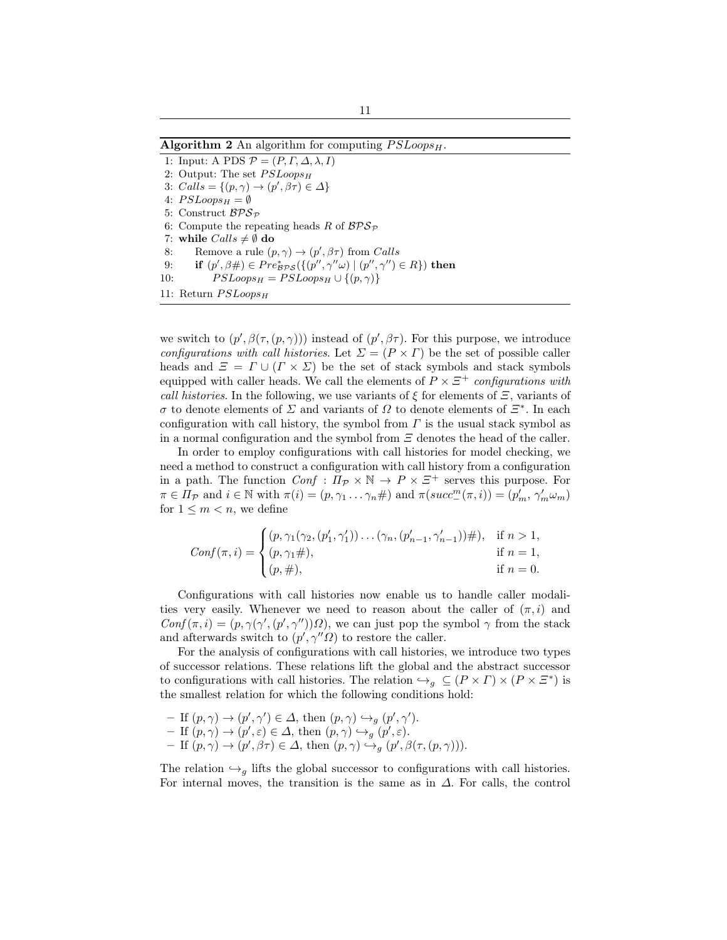#### <span id="page-10-0"></span>Algorithm 2 An algorithm for computing  $PSLoops_H$ .

1: Input: A PDS  $P = (P, \Gamma, \Delta, \lambda, I)$ 2: Output: The set  $PSLoops<sub>H</sub>$ 3:  $Calls = \{(p, \gamma) \rightarrow (p', \beta \tau) \in \Delta\}$ 4:  $PSLoops_H = \emptyset$ 5: Construct  $BPS_P$ 6: Compute the repeating heads R of  $BPS_{\mathcal{P}}$ 7: while  $Calls \neq \emptyset$  do 8: Remove a rule  $(p, \gamma) \rightarrow (p', \beta \tau)$  from Calls 9: if  $(p', \beta \#) \in Pre_{\mathcal{BPS}}^*({{(p'', \gamma''\omega) | (p'', \gamma'')} \in R})$  then 10:  $PSLoops_H = PSLoops_H \cup \{(p, \gamma)\}\$ 11: Return  $PSLoops_H$ 

we switch to  $(p', \beta(\tau, (p, \gamma)))$  instead of  $(p', \beta\tau)$ . For this purpose, we introduce configurations with call histories. Let  $\Sigma = (P \times \Gamma)$  be the set of possible caller heads and  $\Xi = \Gamma \cup (\Gamma \times \Sigma)$  be the set of stack symbols and stack symbols equipped with caller heads. We call the elements of  $P \times \Xi^+$  configurations with call histories. In the following, we use variants of  $\xi$  for elements of  $\Xi$ , variants of σ to denote elements of Σ and variants of Ω to denote elements of Ξ<sup>∗</sup> . In each configuration with call history, the symbol from  $\Gamma$  is the usual stack symbol as in a normal configuration and the symbol from  $\Xi$  denotes the head of the caller.

In order to employ configurations with call histories for model checking, we need a method to construct a configuration with call history from a configuration in a path. The function  $Conf : \Pi_{\mathcal{P}} \times \mathbb{N} \to P \times \Xi^+$  serves this purpose. For  $\pi \in \Pi_{\mathcal{P}}$  and  $i \in \mathbb{N}$  with  $\pi(i) = (p, \gamma_1 \dots \gamma_n \#)$  and  $\pi(succ^m_-(\pi, i)) = (p'_m, \gamma'_m \omega_m)$ for  $1 \leq m < n$ , we define

$$
Conf(\pi, i) = \begin{cases} (p, \gamma_1(\gamma_2, (p'_1, \gamma'_1)) \dots (\gamma_n, (p'_{n-1}, \gamma'_{n-1})) \#), & \text{if } n > 1, \\ (p, \gamma_1 \#), & \text{if } n = 1, \\ (p, \#), & \text{if } n = 0. \end{cases}
$$

Configurations with call histories now enable us to handle caller modalities very easily. Whenever we need to reason about the caller of  $(\pi, i)$  and  $Conf(\pi, i) = (p, \gamma(\gamma', (p', \gamma''))\Omega)$ , we can just pop the symbol  $\gamma$  from the stack and afterwards switch to  $(p', \gamma'' \Omega)$  to restore the caller.

For the analysis of configurations with call histories, we introduce two types of successor relations. These relations lift the global and the abstract successor to configurations with call histories. The relation  $\hookrightarrow_g \subseteq (P \times \Gamma) \times (P \times \Xi^*)$  is the smallest relation for which the following conditions hold:

\n- \n
$$
- \text{ If } (p, \gamma) \to (p', \gamma') \in \Delta
$$
, then\n  $(p, \gamma) \hookrightarrow_g (p', \gamma')$ .\n
\n- \n $- \text{ If } (p, \gamma) \to (p', \varepsilon) \in \Delta$ , then\n  $(p, \gamma) \hookrightarrow_g (p', \varepsilon)$ .\n
\n- \n $- \text{ If } (p, \gamma) \to (p', \beta \tau) \in \Delta$ , then\n  $(p, \gamma) \hookrightarrow_g (p', \beta(\tau, (p, \gamma)))$ .\n
\n

The relation  $\hookrightarrow_g$  lifts the global successor to configurations with call histories. For internal moves, the transition is the same as in  $\Delta$ . For calls, the control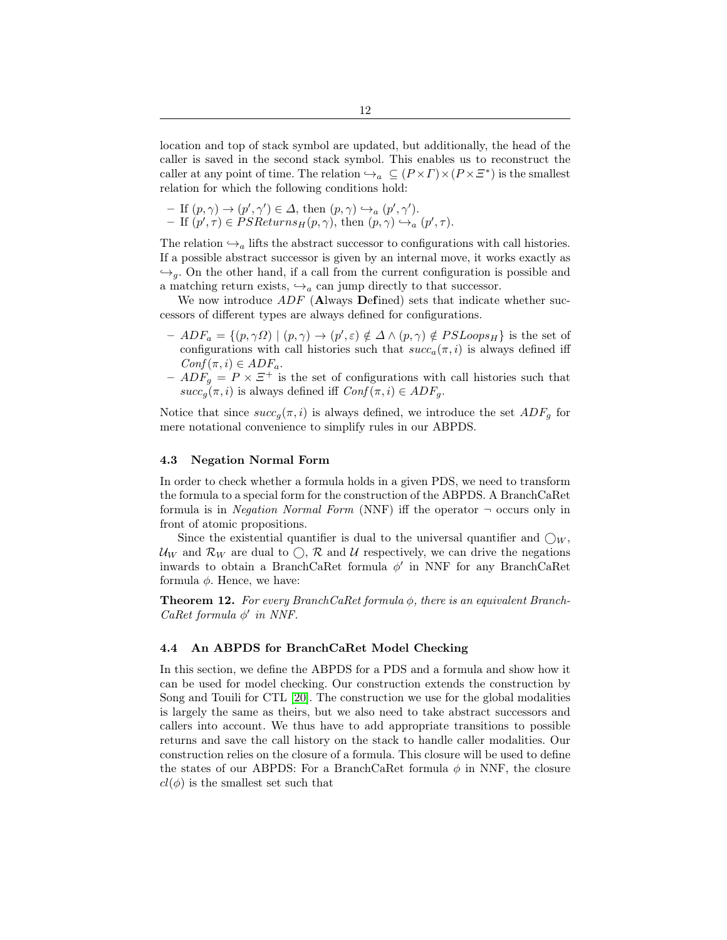location and top of stack symbol are updated, but additionally, the head of the caller is saved in the second stack symbol. This enables us to reconstruct the caller at any point of time. The relation  $\hookrightarrow_a \subseteq (P \times \Gamma) \times (P \times \Xi^*)$  is the smallest relation for which the following conditions hold:

- If 
$$
(p, \gamma) \to (p', \gamma') \in \Delta
$$
, then  $(p, \gamma) \hookrightarrow_a (p', \gamma')$ .  
- If  $(p', \tau) \in PSReturns_H(p, \gamma)$ , then  $(p, \gamma) \hookrightarrow_a (p', \tau)$ .

The relation  $\hookrightarrow_a$  lifts the abstract successor to configurations with call histories. If a possible abstract successor is given by an internal move, it works exactly as  $\hookrightarrow_g$ . On the other hand, if a call from the current configuration is possible and a matching return exists,  $\hookrightarrow_a$  can jump directly to that successor.

We now introduce  $ADF$  (Always Defined) sets that indicate whether successors of different types are always defined for configurations.

- $-ADF_a = \{(p, \gamma \Omega) \mid (p, \gamma) \to (p', \varepsilon) \notin \Delta \wedge (p, \gamma) \notin PSLoops_H\}$  is the set of configurations with call histories such that  $succ_a(\pi, i)$  is always defined iff  $Conf(\pi, i) \in ADF_a$ .
- $ADF<sub>g</sub> = P \times E<sup>+</sup>$  is the set of configurations with call histories such that  $succ_q(\pi, i)$  is always defined iff  $Conf(\pi, i) \in ADF_q$ .

Notice that since  $succ_q(\pi, i)$  is always defined, we introduce the set  $ADF_q$  for mere notational convenience to simplify rules in our ABPDS.

#### 4.3 Negation Normal Form

In order to check whether a formula holds in a given PDS, we need to transform the formula to a special form for the construction of the ABPDS. A BranchCaRet formula is in *Negation Normal Form* (NNF) iff the operator  $\neg$  occurs only in front of atomic propositions.

Since the existential quantifier is dual to the universal quantifier and  $\bigcirc_W$ ,  $U_W$  and  $\mathcal{R}_W$  are dual to  $\bigcirc$ ,  $\mathcal{R}$  and  $\mathcal{U}$  respectively, we can drive the negations inwards to obtain a BranchCaRet formula  $\phi'$  in NNF for any BranchCaRet formula  $\phi$ . Hence, we have:

**Theorem 12.** For every BranchCaRet formula  $\phi$ , there is an equivalent Branch-CaRet formula  $\phi'$  in NNF.

### 4.4 An ABPDS for BranchCaRet Model Checking

In this section, we define the ABPDS for a PDS and a formula and show how it can be used for model checking. Our construction extends the construction by Song and Touili for CTL [\[20\]](#page-16-1). The construction we use for the global modalities is largely the same as theirs, but we also need to take abstract successors and callers into account. We thus have to add appropriate transitions to possible returns and save the call history on the stack to handle caller modalities. Our construction relies on the closure of a formula. This closure will be used to define the states of our ABPDS: For a BranchCaRet formula  $\phi$  in NNF, the closure  $cl(\phi)$  is the smallest set such that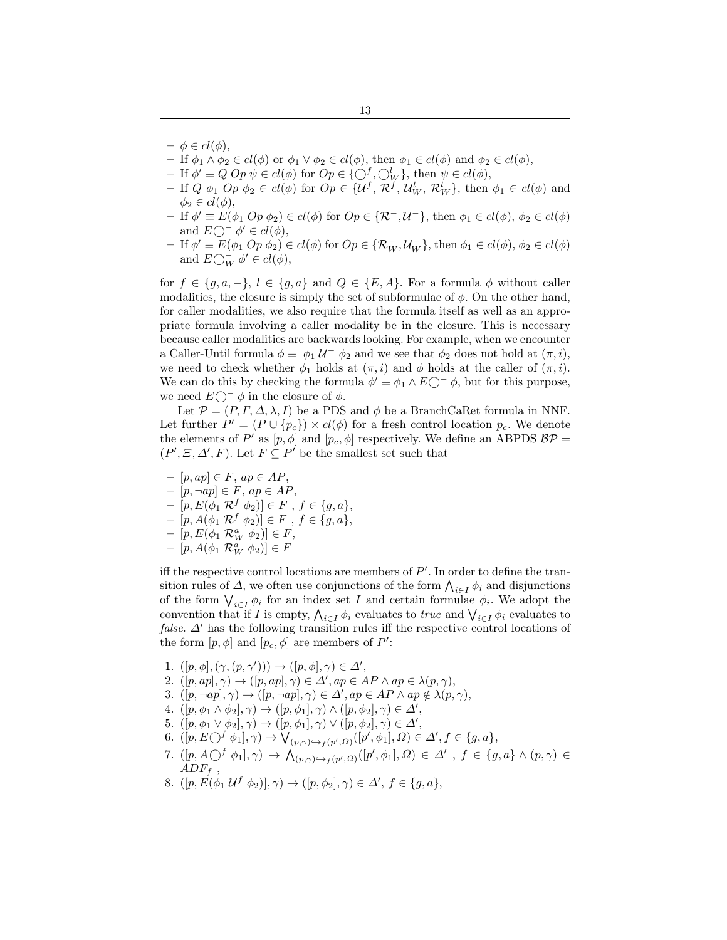- $-\phi \in cl(\phi),$
- If  $\phi_1 \wedge \phi_2 \in cl(\phi)$  or  $\phi_1 \vee \phi_2 \in cl(\phi)$ , then  $\phi_1 \in cl(\phi)$  and  $\phi_2 \in cl(\phi)$ ,
- If  $\phi' \equiv Q Op \ \psi \in cl(\phi)$  for  $Op \in \{O_f^f, O_W^l\}$ , then  $\psi \in cl(\phi)$ ,
- If  $Q \phi_1$   $Op \phi_2 \in cl(\phi)$  for  $Op \in \{U^f, R^f, U_W^l, R_W^l\}$ , then  $\phi_1 \in cl(\phi)$  and  $\phi_2 \in cl(\phi),$
- $-$  If  $\phi' \equiv E(\phi_1 \cdot Op \phi_2) \in cl(\phi)$  for  $Op \in {\mathcal{R}^-}$ ,  $\mathcal{U}^-$ ,  $\mathcal{U}^-$ , then  $\phi_1 \in cl(\phi)$ ,  $\phi_2 \in cl(\phi)$ and  $E\bigcirc^- \phi' \in cl(\phi),$
- $-If \phi' \equiv E(\phi_1 \ Op \phi_2) \in cl(\phi)$  for  $Op \in {\mathcal{R}_W^-}$ ,  $\mathcal{U}_W^-$ , then  $\phi_1 \in cl(\phi)$ ,  $\phi_2 \in cl(\phi)$ and  $E\bigcirc_W^-\phi'\in cl(\phi),$

for  $f \in \{g, a, -\}, l \in \{g, a\}$  and  $Q \in \{E, A\}$ . For a formula  $\phi$  without caller modalities, the closure is simply the set of subformulae of  $\phi$ . On the other hand, for caller modalities, we also require that the formula itself as well as an appropriate formula involving a caller modality be in the closure. This is necessary because caller modalities are backwards looking. For example, when we encounter a Caller-Until formula  $\phi \equiv \phi_1 \mathcal{U}^- \phi_2$  and we see that  $\phi_2$  does not hold at  $(\pi, i)$ , we need to check whether  $\phi_1$  holds at  $(\pi, i)$  and  $\phi$  holds at the caller of  $(\pi, i)$ . We can do this by checking the formula  $\phi' \equiv \phi_1 \wedge E_0^- \phi$ , but for this purpose, we need  $E\bigcirc^- \phi$  in the closure of  $\phi$ .

Let  $\mathcal{P} = (P, \Gamma, \Delta, \lambda, I)$  be a PDS and  $\phi$  be a BranchCaRet formula in NNF. Let further  $P' = (P \cup \{p_c\}) \times cl(\phi)$  for a fresh control location  $p_c$ . We denote the elements of P' as  $[p, \phi]$  and  $[p_c, \phi]$  respectively. We define an ABPDS  $BP =$  $(P', \Xi, \Delta', F)$ . Let  $F \subseteq P'$  be the smallest set such that

 $-[p, ap] \in F$ ,  $ap \in AP$ ,  $-[p, \neg ap] \in F$ ,  $ap \in AP$ ,  $-[p, E(\phi_1 \mathcal{R}^f \phi_2)] \in F, f \in \{g, a\},\$  $-[p, A(φ₁ R<sup>f</sup> φ<sub>2</sub>)] ∈ F, f ∈ {g, a}$ ,  $-[p, E(\phi_1 \mathcal{R}_W^a \phi_2)] \in F,$  $-[p, A(\phi_1 \mathcal{R}_W^a \phi_2)] \in F$ 

iff the respective control locations are members of  $P'$ . In order to define the transition rules of  $\Delta$ , we often use conjunctions of the form  $\bigwedge_{i \in I} \phi_i$  and disjunctions of the form  $\bigvee_{i\in I}\phi_i$  for an index set I and certain formulae  $\phi_i$ . We adopt the convention that if I is empty,  $\bigwedge_{i \in I} \phi_i$  evaluates to *true* and  $\bigvee_{i \in I} \phi_i$  evaluates to *false.*  $\Delta'$  has the following transition rules iff the respective control locations of the form  $[p, \phi]$  and  $[p_c, \phi]$  are members of P':

- <span id="page-12-0"></span>1.  $([p, \phi], (\gamma, (p, \gamma'))) \rightarrow ([p, \phi], \gamma) \in \Delta',$
- <span id="page-12-1"></span>2.  $([p, ap], \gamma) \rightarrow ([p, ap], \gamma) \in \Delta', ap \in AP \land ap \in \lambda(p, \gamma),$
- 3.  $([p, \neg ap], \gamma) \rightarrow ([p, \neg ap], \gamma) \in \Delta', ap \in AP \land ap \notin \lambda(p, \gamma),$
- <span id="page-12-2"></span>4.  $([p, \phi_1 \wedge \phi_2], \gamma) \rightarrow ([p, \phi_1], \gamma) \wedge ([p, \phi_2], \gamma) \in \Delta',$
- <span id="page-12-3"></span>5.  $([p, \phi_1 \lor \phi_2], \gamma) \to ([p, \phi_1], \gamma) \lor ([p, \phi_2], \gamma) \in \Delta',$
- <span id="page-12-4"></span>6.  $([p, E\bigcirc^f \phi_1], \gamma) \to \bigvee_{(p, \gamma) \hookrightarrow_f (p', \Omega)} ([p', \phi_1], \Omega) \in \Delta', f \in \{g, a\},\$
- <span id="page-12-6"></span>7.  $([p, A\bigcirc^f \phi_1], \gamma) \to \bigwedge_{(p,\gamma)\hookrightarrow_f (p',\Omega)} ([p', \phi_1], \Omega) \in \Delta'$ ,  $f \in \{g, a\} \wedge (p, \gamma) \in$  $ADF_f$ .
- <span id="page-12-5"></span>8.  $([p, E(\phi_1 \mathcal{U}^f \phi_2)], \gamma) \to ([p, \phi_2], \gamma) \in \Delta', f \in \{g, a\},\$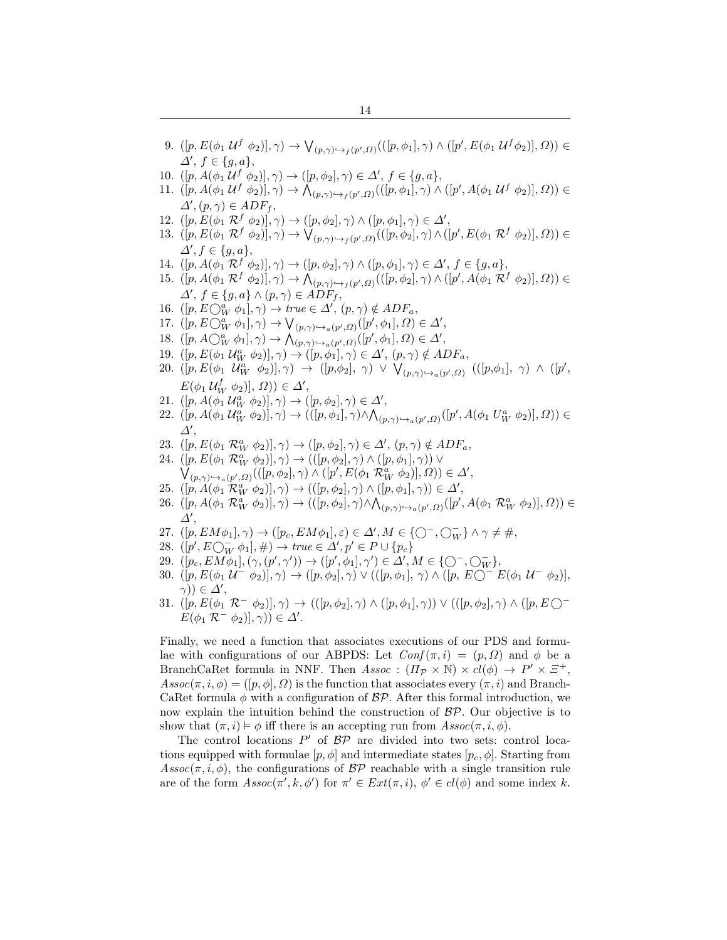- <span id="page-13-5"></span>9.  $([p, E(\phi_1 \mathcal{U}^f \ \phi_2)], \gamma) \rightarrow \bigvee_{(p,\gamma) \hookrightarrow_f (p',\Omega)} (([p,\phi_1], \gamma) \wedge ([p', E(\phi_1 \mathcal{U}^f \phi_2)], \Omega)) \in$  $\Delta', f \in \{g, a\},\$
- 10.  $([p, A(\phi_1 \mathcal{U}^f \ \phi_2)], \gamma) \to ([p, \phi_2], \gamma) \in \Delta', f \in \{g, a\},\$
- 11.  $([p, A(\phi_1 \mathcal{U}^f \ \phi_2)], \gamma) \to \bigwedge_{(p,\gamma) \hookrightarrow_f (p',\Omega)} (([p,\phi_1], \gamma) \wedge ([p', A(\phi_1 \mathcal{U}^f \ \phi_2)], \Omega)) \in$  $\Delta', (p, \gamma) \in ADF_f,$
- 12.  $([p, E(\phi_1 \mathcal{R}^f \phi_2)], \gamma) \rightarrow ([p, \phi_2], \gamma) \wedge ([p, \phi_1], \gamma) \in \Delta',$
- <span id="page-13-6"></span>13.  $([p, E(\phi_1 \mathcal{R}^f \phi_2)], \gamma) \rightarrow \bigvee_{(p, \gamma) \hookrightarrow f(p', \Omega)} (([p, \phi_2], \gamma) \wedge ([p', E(\phi_1 \mathcal{R}^f \phi_2)], \Omega)) \in$  $\Delta', f \in \{g, a\},\$
- 14.  $([p, A(\phi_1 \mathcal{R}^f \phi_2)], \gamma) \to ([p, \phi_2], \gamma) \wedge ([p, \phi_1], \gamma) \in \Delta', f \in \{g, a\},\$
- <span id="page-13-0"></span>15.  $([p, A(\phi_1 \mathcal{R}^f \phi_2)], \gamma) \rightarrow \bigwedge_{(p,\gamma) \hookrightarrow_f (p',\Omega)} (([p,\phi_2], \gamma) \wedge ([p', A(\phi_1 \mathcal{R}^f \phi_2)], \Omega)) \in$  $\Delta', f \in \{g, a\} \wedge (p, \gamma) \in \widehat{ADF}_f,$
- <span id="page-13-1"></span>16.  $([p, E\bigcirc^a_W \phi_1], \gamma) \to true \in \Delta', (p, \gamma) \notin ADF_a$ ,
- 17.  $([p, E\bigcirc^a_W \phi_1], \gamma) \to \bigvee_{(p,\gamma)\hookrightarrow_a(p',\Omega)} ([p',\phi_1], \Omega) \in \Delta',$
- <span id="page-13-7"></span>18.  $([p, A\bigcirc^a_W \phi_1], \gamma) \to \bigwedge_{(p,\gamma)\hookrightarrow_a(p',\Omega)}([p',\phi_1], \Omega) \in \Delta',$
- <span id="page-13-8"></span>19.  $([p, E(\phi_1 \mathcal{U}_W^a \phi_2)], \gamma) \rightarrow ([p, \phi_1], \gamma) \in \Delta', (p, \gamma) \notin ADF_a,$
- <span id="page-13-9"></span>20.  $([p, E(\phi_1 \ U_W^a \ \phi_2)], \gamma) \rightarrow ([p, \phi_2], \ \gamma) \ \vee \ \bigvee_{(p, \gamma) \hookrightarrow_a (p', Q)} \ (([p, \phi_1], \ \gamma) \ \wedge \ ([p', \phi_2], \gamma) \$  $E(\phi_1 \mathcal{U}_{W}^f \phi_2)], \Omega) \in \Delta',$
- 21.  $([p, A(\phi_1 \mathcal{U}_W^a \ \phi_2)], \gamma) \to ([p, \phi_2], \gamma) \in \Delta',$
- 22.  $([p, A(\phi_1 \mathcal{U}_W^a \phi_2)], \gamma) \rightarrow (([p, \phi_1], \gamma) \wedge \bigwedge_{(p, \gamma) \hookrightarrow_a (p', \Omega)} ([p', A(\phi_1 \mathcal{U}_W^a \phi_2)], \Omega)) \in$  $\Delta',$
- <span id="page-13-13"></span>23.  $([p, E(\phi_1 \mathcal{R}_W^a \phi_2)], \gamma) \rightarrow ([p, \phi_2], \gamma) \in \Delta', (p, \gamma) \notin ADF_a$ ,
- 24.  $([p, E(\phi_1 \mathcal{R}_W^a \phi_2)], \gamma) \rightarrow (([p, \phi_2], \gamma) \wedge ([p, \phi_1], \gamma))$  $\bigvee_{(p,\gamma)\hookrightarrow_a(p',\Omega)}(([p,\phi_2],\gamma)\wedge([p',E(\phi_1\mathcal{R}_W^a\phi_2)],\Omega))\in\Delta',$
- 25.  $([p, A(\phi_1 \mathcal{R}_W^a \phi_2)], \gamma) \rightarrow (([p, \phi_2], \gamma) \wedge ([p, \phi_1], \gamma)) \in \Delta',$
- <span id="page-13-2"></span>26.  $([p, A(\phi_1 \mathcal{R}_W^a \phi_2)], \gamma) \rightarrow (([p, \phi_2], \gamma) \wedge \bigwedge_{(p, \gamma) \hookrightarrow_a (p', \Omega)} ([p', A(\phi_1 \mathcal{R}_W^a \phi_2)], \Omega)) \in$  $\Delta',$
- <span id="page-13-3"></span>27.  $([p, EM\phi_1], \gamma) \rightarrow ([p_c, EM\phi_1], \varepsilon) \in \Delta', M \in \{\bigcirc^- , \bigcirc^-_W\} \wedge \gamma \neq \#$ ,
- <span id="page-13-11"></span>28.  $([p', E\bigcirc_{W}^{-} \phi_1], \#) \rightarrow true \in \Delta', p' \in P \cup \{p_c\}$
- <span id="page-13-10"></span>29.  $([p_c, EM\phi_1], (\gamma, (p', \gamma')) \to ([p', \phi_1], \gamma') \in \Delta', M \in \{\bigcirc^-,\bigcirc_W^-\},$
- <span id="page-13-12"></span>30.  $([p, E(\phi_1 \mathcal{U}^- \phi_2)], \gamma) \rightarrow ([p, \phi_2], \gamma) \vee (([p, \phi_1], \gamma) \wedge ([p, E\bigcirc^- E(\phi_1 \mathcal{U}^- \phi_2)],$  $(\gamma)) \in \Delta',$
- <span id="page-13-4"></span>31.  $([p, E(\phi_1 \mathcal{R}^- \phi_2)], \gamma) \rightarrow (([p, \phi_2], \gamma) \wedge ([p, \phi_1], \gamma)) \vee (([p, \phi_2], \gamma) \wedge ([p, E\bigcap \gamma))$  $E(\phi_1 \mathcal{R}^- \phi_2)], \gamma) \in \Delta'.$

Finally, we need a function that associates executions of our PDS and formulae with configurations of our ABPDS: Let  $Conf(\pi, i) = (p, \Omega)$  and  $\phi$  be a BranchCaRet formula in NNF. Then  $Assoc : (I\!\!I_{\mathcal{P}} \times \mathbb{N}) \times cl(\phi) \rightarrow P' \times \Xi^+$ ,  $Assoc(\pi, i, \phi) = ([p, \phi], \Omega)$  is the function that associates every  $(\pi, i)$  and Branch-CaRet formula  $\phi$  with a configuration of  $BP$ . After this formal introduction, we now explain the intuition behind the construction of  $BP$ . Our objective is to show that  $(\pi, i) \models \phi$  iff there is an accepting run from  $Assoc(\pi, i, \phi)$ .

The control locations  $P'$  of  $BP$  are divided into two sets: control locations equipped with formulae  $[p, \phi]$  and intermediate states  $[p_c, \phi]$ . Starting from  $Assoc(\pi, i, \phi)$ , the configurations of  $BP$  reachable with a single transition rule are of the form  $Assoc(\pi', k, \phi')$  for  $\pi' \in Ext(\pi, i)$ ,  $\phi' \in cl(\phi)$  and some index k.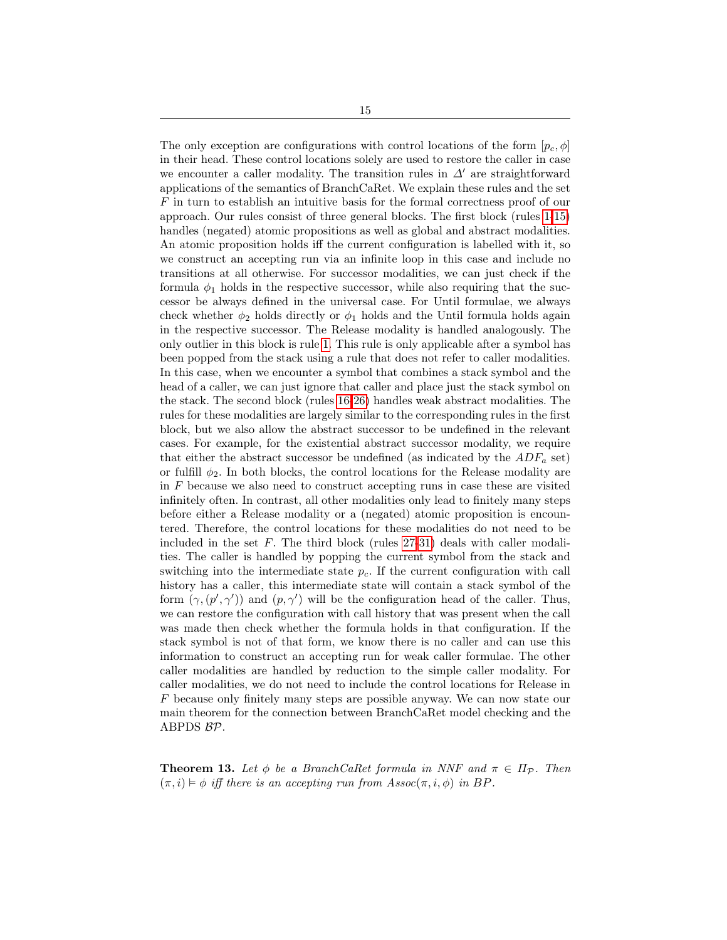The only exception are configurations with control locations of the form  $[p_c, \phi]$ in their head. These control locations solely are used to restore the caller in case we encounter a caller modality. The transition rules in  $\Delta'$  are straightforward applications of the semantics of BranchCaRet. We explain these rules and the set F in turn to establish an intuitive basis for the formal correctness proof of our approach. Our rules consist of three general blocks. The first block (rules [1-](#page-12-0)[15\)](#page-13-0) handles (negated) atomic propositions as well as global and abstract modalities. An atomic proposition holds iff the current configuration is labelled with it, so we construct an accepting run via an infinite loop in this case and include no transitions at all otherwise. For successor modalities, we can just check if the formula  $\phi_1$  holds in the respective successor, while also requiring that the successor be always defined in the universal case. For Until formulae, we always check whether  $\phi_2$  holds directly or  $\phi_1$  holds and the Until formula holds again in the respective successor. The Release modality is handled analogously. The only outlier in this block is rule [1.](#page-12-0) This rule is only applicable after a symbol has been popped from the stack using a rule that does not refer to caller modalities. In this case, when we encounter a symbol that combines a stack symbol and the head of a caller, we can just ignore that caller and place just the stack symbol on the stack. The second block (rules [16-](#page-13-1)[26\)](#page-13-2) handles weak abstract modalities. The rules for these modalities are largely similar to the corresponding rules in the first block, but we also allow the abstract successor to be undefined in the relevant cases. For example, for the existential abstract successor modality, we require that either the abstract successor be undefined (as indicated by the  $ADF_a$  set) or fulfill  $\phi_2$ . In both blocks, the control locations for the Release modality are in F because we also need to construct accepting runs in case these are visited infinitely often. In contrast, all other modalities only lead to finitely many steps before either a Release modality or a (negated) atomic proposition is encountered. Therefore, the control locations for these modalities do not need to be included in the set  $F$ . The third block (rules [27-](#page-13-3)[31\)](#page-13-4) deals with caller modalties. The caller is handled by popping the current symbol from the stack and switching into the intermediate state  $p<sub>c</sub>$ . If the current configuration with call history has a caller, this intermediate state will contain a stack symbol of the form  $(\gamma, (p', \gamma'))$  and  $(p, \gamma')$  will be the configuration head of the caller. Thus, we can restore the configuration with call history that was present when the call was made then check whether the formula holds in that configuration. If the stack symbol is not of that form, we know there is no caller and can use this information to construct an accepting run for weak caller formulae. The other caller modalities are handled by reduction to the simple caller modality. For caller modalities, we do not need to include the control locations for Release in F because only finitely many steps are possible anyway. We can now state our main theorem for the connection between BranchCaRet model checking and the ABPDS BP.

<span id="page-14-0"></span>**Theorem 13.** Let  $\phi$  be a BranchCaRet formula in NNF and  $\pi \in \Pi_{\mathcal{P}}$ . Then  $(\pi, i) \models \phi$  iff there is an accepting run from  $Assoc(\pi, i, \phi)$  in BP.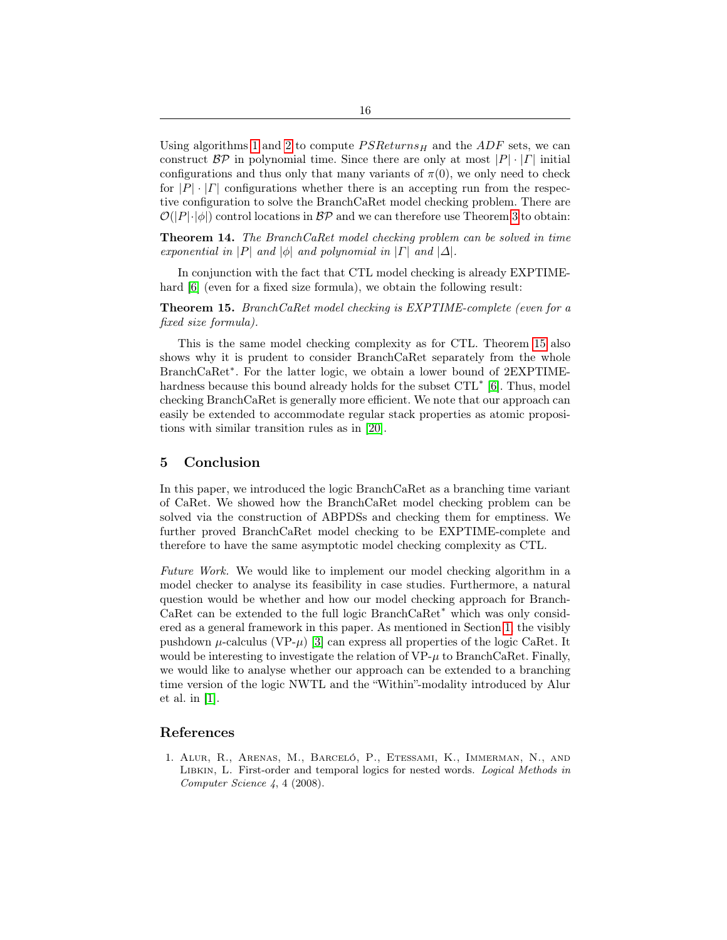Using algorithms [1](#page-9-0) and [2](#page-10-0) to compute  $PSReturns_H$  and the ADF sets, we can construct  $\mathcal{BP}$  in polynomial time. Since there are only at most  $|P| \cdot |F|$  initial configurations and thus only that many variants of  $\pi(0)$ , we only need to check for  $|P| \cdot |F|$  configurations whether there is an accepting run from the respective configuration to solve the BranchCaRet model checking problem. There are  $\mathcal{O}(|P|\cdot|\phi|)$  control locations in  $\mathcal{BP}$  and we can therefore use Theorem [3](#page-4-0) to obtain:

Theorem 14. The BranchCaRet model checking problem can be solved in time exponential in |P| and  $|\phi|$  and polynomial in |T| and  $|\Delta|$ .

In conjunction with the fact that CTL model checking is already EXPTIMEhard  $[6]$  (even for a fixed size formula), we obtain the following result:

<span id="page-15-2"></span>Theorem 15. BranchCaRet model checking is EXPTIME-complete (even for a fixed size formula).

This is the same model checking complexity as for CTL. Theorem [15](#page-15-2) also shows why it is prudent to consider BranchCaRet separately from the whole BranchCaRet<sup>∗</sup> . For the latter logic, we obtain a lower bound of 2EXPTIMEhardness because this bound already holds for the subset  $\text{CTL}^*$  [\[6\]](#page-16-2). Thus, model checking BranchCaRet is generally more efficient. We note that our approach can easily be extended to accommodate regular stack properties as atomic propositions with similar transition rules as in [\[20\]](#page-16-1).

## <span id="page-15-0"></span>5 Conclusion

In this paper, we introduced the logic BranchCaRet as a branching time variant of CaRet. We showed how the BranchCaRet model checking problem can be solved via the construction of ABPDSs and checking them for emptiness. We further proved BranchCaRet model checking to be EXPTIME-complete and therefore to have the same asymptotic model checking complexity as CTL.

Future Work. We would like to implement our model checking algorithm in a model checker to analyse its feasibility in case studies. Furthermore, a natural question would be whether and how our model checking approach for Branch-CaRet can be extended to the full logic BranchCaRet<sup>∗</sup> which was only considered as a general framework in this paper. As mentioned in Section [1,](#page-0-0) the visibly pushdown  $\mu$ -calculus (VP- $\mu$ ) [\[3\]](#page-16-12) can express all properties of the logic CaRet. It would be interesting to investigate the relation of  $VP-\mu$  to BranchCaRet. Finally, we would like to analyse whether our approach can be extended to a branching time version of the logic NWTL and the "Within"-modality introduced by Alur et al. in [\[1\]](#page-15-1).

## References

<span id="page-15-1"></span>1. Alur, R., Arenas, M., Barceló, P., Etessami, K., Immerman, N., and LIBKIN, L. First-order and temporal logics for nested words. Logical Methods in Computer Science 4, 4 (2008).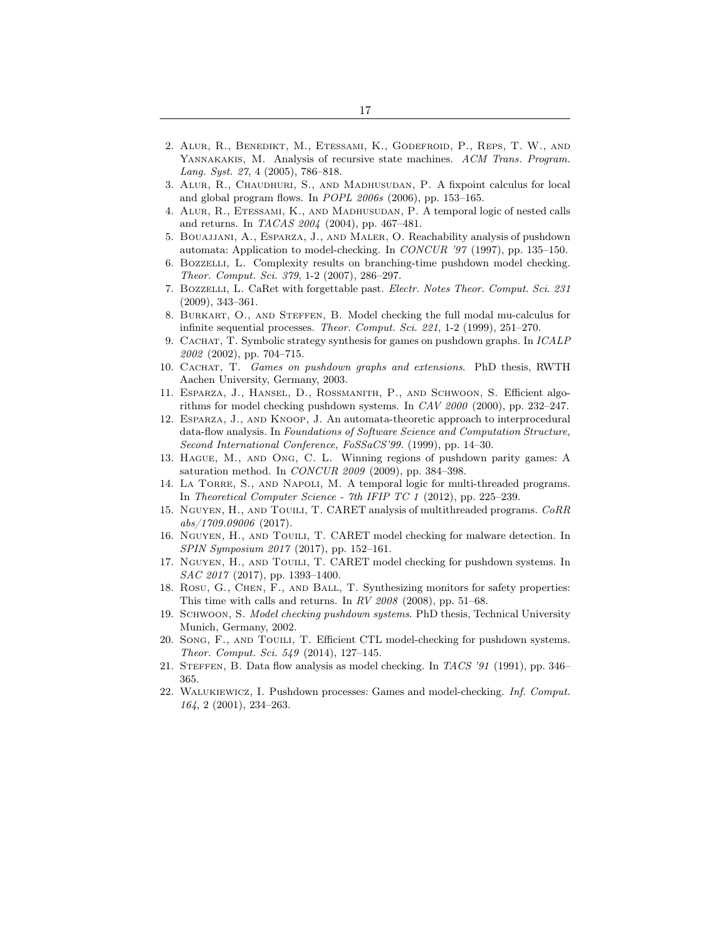- <span id="page-16-18"></span>2. Alur, R., Benedikt, M., Etessami, K., Godefroid, P., Reps, T. W., and YANNAKAKIS, M. Analysis of recursive state machines. ACM Trans. Program. Lang. Syst. 27, 4 (2005), 786–818.
- <span id="page-16-12"></span>3. Alur, R., Chaudhuri, S., and Madhusudan, P. A fixpoint calculus for local and global program flows. In POPL 2006s (2006), pp. 153–165.
- <span id="page-16-5"></span>4. Alur, R., Etessami, K., and Madhusudan, P. A temporal logic of nested calls and returns. In TACAS 2004 (2004), pp. 467–481.
- <span id="page-16-13"></span>5. Bouajjani, A., Esparza, J., and Maler, O. Reachability analysis of pushdown automata: Application to model-checking. In CONCUR '97 (1997), pp. 135–150.
- <span id="page-16-2"></span>6. Bozzelli, L. Complexity results on branching-time pushdown model checking. Theor. Comput. Sci. 379, 1-2 (2007), 286–297.
- <span id="page-16-8"></span>7. Bozzelli, L. CaRet with forgettable past. Electr. Notes Theor. Comput. Sci. 231 (2009), 343–361.
- <span id="page-16-4"></span>8. Burkart, O., and Steffen, B. Model checking the full modal mu-calculus for infinite sequential processes. Theor. Comput. Sci. 221, 1-2 (1999), 251–270.
- <span id="page-16-17"></span>9. Cachat, T. Symbolic strategy synthesis for games on pushdown graphs. In ICALP 2002 (2002), pp. 704–715.
- <span id="page-16-16"></span>10. Cachat, T. Games on pushdown graphs and extensions. PhD thesis, RWTH Aachen University, Germany, 2003.
- <span id="page-16-14"></span>11. Esparza, J., Hansel, D., Rossmanith, P., and Schwoon, S. Efficient algorithms for model checking pushdown systems. In CAV 2000 (2000), pp. 232–247.
- <span id="page-16-20"></span>12. Esparza, J., and Knoop, J. An automata-theoretic approach to interprocedural data-flow analysis. In Foundations of Software Science and Computation Structure, Second International Conference, FoSSaCS'99. (1999), pp. 14-30.
- <span id="page-16-15"></span>13. Hague, M., and Ong, C. L. Winning regions of pushdown parity games: A saturation method. In CONCUR 2009 (2009), pp. 384–398.
- <span id="page-16-9"></span>14. La Torre, S., and Napoli, M. A temporal logic for multi-threaded programs. In Theoretical Computer Science - 7th IFIP TC 1 (2012), pp. 225–239.
- <span id="page-16-10"></span>15. NGUYEN, H., AND TOUILI, T. CARET analysis of multithreaded programs. CoRR abs/1709.09006 (2017).
- <span id="page-16-11"></span>16. Nguyen, H., and Touili, T. CARET model checking for malware detection. In SPIN Symposium 2017 (2017), pp. 152–161.
- <span id="page-16-6"></span>17. NGUYEN, H., AND TOUILI, T. CARET model checking for pushdown systems. In SAC 2017 (2017), pp. 1393-1400.
- <span id="page-16-7"></span>18. Rosu, G., Chen, F., and Ball, T. Synthesizing monitors for safety properties: This time with calls and returns. In RV 2008 (2008), pp. 51–68.
- <span id="page-16-0"></span>19. Schwoon, S. Model checking pushdown systems. PhD thesis, Technical University Munich, Germany, 2002.
- <span id="page-16-1"></span>20. Song, F., and Touili, T. Efficient CTL model-checking for pushdown systems. Theor. Comput. Sci. 549 (2014), 127–145.
- <span id="page-16-19"></span>21. Steffen, B. Data flow analysis as model checking. In TACS '91 (1991), pp. 346– 365.
- <span id="page-16-3"></span>22. Walukiewicz, I. Pushdown processes: Games and model-checking. Inf. Comput. 164, 2 (2001), 234–263.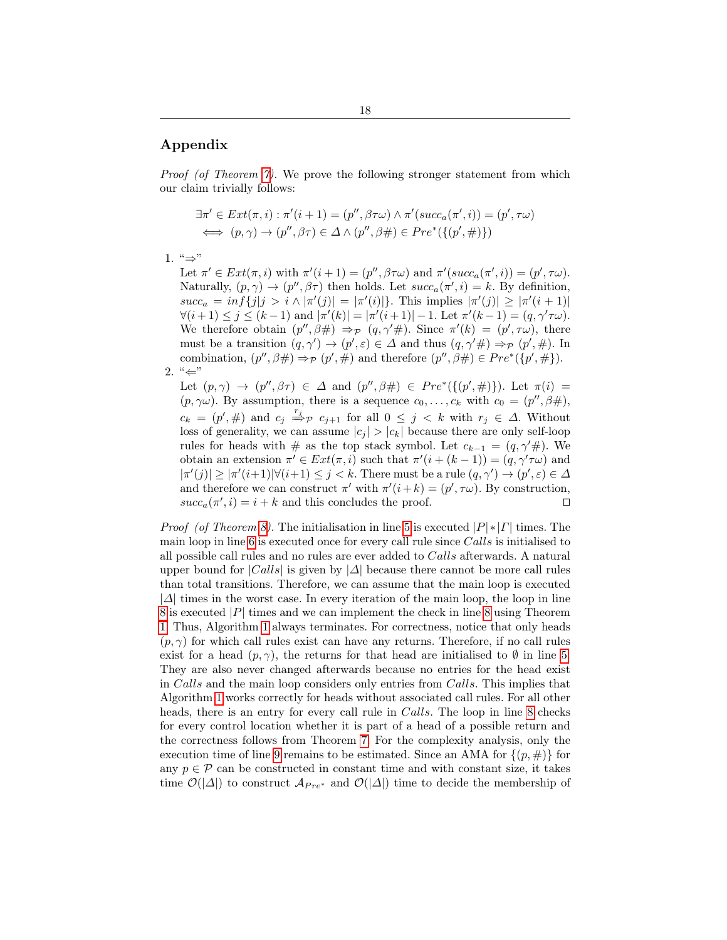# Appendix

Proof (of Theorem [7\)](#page-8-1). We prove the following stronger statement from which our claim trivially follows:

$$
\exists \pi' \in Ext(\pi, i) : \pi'(i + 1) = (p'', \beta \tau \omega) \land \pi'(succ_{a}(\pi', i)) = (p', \tau \omega)
$$
  

$$
\iff (p, \gamma) \to (p'', \beta \tau) \in \Delta \land (p'', \beta \#) \in Pre^*(\{(p', \#)\})
$$

1.  $" \Rightarrow$ "

Let  $\pi' \in Ext(\pi, i)$  with  $\pi'(i+1) = (p'', \beta \tau \omega)$  and  $\pi'(succ_a(\pi', i)) = (p', \tau \omega)$ . Naturally,  $(p, \gamma) \rightarrow (p'', \beta \tau)$  then holds. Let  $succ_a(\pi', i) = k$ . By definition,  $succ_a = inf\{j|j > i \land |\pi'(j)| = |\pi'(i)|\}.$  This implies  $|\pi'(j)| \geq |\pi'(i+1)|$  $\forall (i+1) \leq j \leq (k-1) \text{ and } |\pi'(k)| = |\pi'(i+1)| - 1. \text{ Let } \pi'(k-1) = (q, \gamma' \tau \omega).$ We therefore obtain  $(p'', \beta \#) \Rightarrow_{\mathcal{P}} (q, \gamma' \#)$ . Since  $\pi'(k) = (p', \tau \omega)$ , there must be a transition  $(q, \gamma') \to (p', \varepsilon) \in \Delta$  and thus  $(q, \gamma' \#) \Rightarrow_{\mathcal{P}} (p', \#)$ . In combination,  $(p'', \beta \#) \Rightarrow_P (p', \#)$  and therefore  $(p'', \beta \#) \in Pre^*(p', \#)$ .

2.  $" \leftarrow"$ 

Let  $(p, \gamma) \rightarrow (p'', \beta \tau) \in \Delta$  and  $(p'', \beta \#) \in Pre^*(\{(p', \#)\})$ . Let  $\pi(i) =$  $(p, \gamma\omega)$ . By assumption, there is a sequence  $c_0, \ldots, c_k$  with  $c_0 = (p'', \beta\#)$ ,  $c_k = (p', \#)$  and  $c_j \stackrel{r_j}{\Rightarrow} p \; c_{j+1}$  for all  $0 \leq j \lt k$  with  $r_j \in \Delta$ . Without loss of generality, we can assume  $|c_j| > |c_k|$  because there are only self-loop rules for heads with # as the top stack symbol. Let  $c_{k-1} = (q, \gamma' \#)$ . We obtain an extension  $\pi' \in Ext(\pi, i)$  such that  $\pi'(i + (k - 1)) = (q, \gamma' \tau \omega)$  and  $|\pi'(j)| \geq |\pi'(i+1)| \forall (i+1) \leq j < k$ . There must be a rule  $(q, \gamma') \to (p', \varepsilon) \in \Delta$ and therefore we can construct  $\pi'$  with  $\pi'(i+k) = (p', \tau\omega)$ . By construction,  $succ_a(\pi', i) = i + k$  and this concludes the proof.

*Proof (of Theorem [8\)](#page-8-2).* The initialisation in line [5](#page-9-0) is executed  $|P| * |T|$  times. The main loop in line [6](#page-9-0) is executed once for every call rule since Calls is initialised to all possible call rules and no rules are ever added to Calls afterwards. A natural upper bound for  $|Calls|$  is given by  $|\Delta|$  because there cannot be more call rules than total transitions. Therefore, we can assume that the main loop is executed  $|\Delta|$  times in the worst case. In every iteration of the main loop, the loop in line  $8$  is executed |P| times and we can implement the check in line  $8$  using Theorem [1.](#page-3-2) Thus, Algorithm [1](#page-9-0) always terminates. For correctness, notice that only heads  $(p, \gamma)$  for which call rules exist can have any returns. Therefore, if no call rules exist for a head  $(p, \gamma)$ , the returns for that head are initialised to  $\emptyset$  in line [5.](#page-9-0) They are also never changed afterwards because no entries for the head exist in Calls and the main loop considers only entries from Calls. This implies that Algorithm [1](#page-9-0) works correctly for heads without associated call rules. For all other heads, there is an entry for every call rule in *Calls*. The loop in line [8](#page-9-0) checks for every control location whether it is part of a head of a possible return and the correctness follows from Theorem [7.](#page-8-1) For the complexity analysis, only the execution time of line [9](#page-9-0) remains to be estimated. Since an AMA for  $\{(p, \#)\}\$ for any  $p \in \mathcal{P}$  can be constructed in constant time and with constant size, it takes time  $\mathcal{O}(|\Delta|)$  to construct  $\mathcal{A}_{Pre^*}$  and  $\mathcal{O}(|\Delta|)$  time to decide the membership of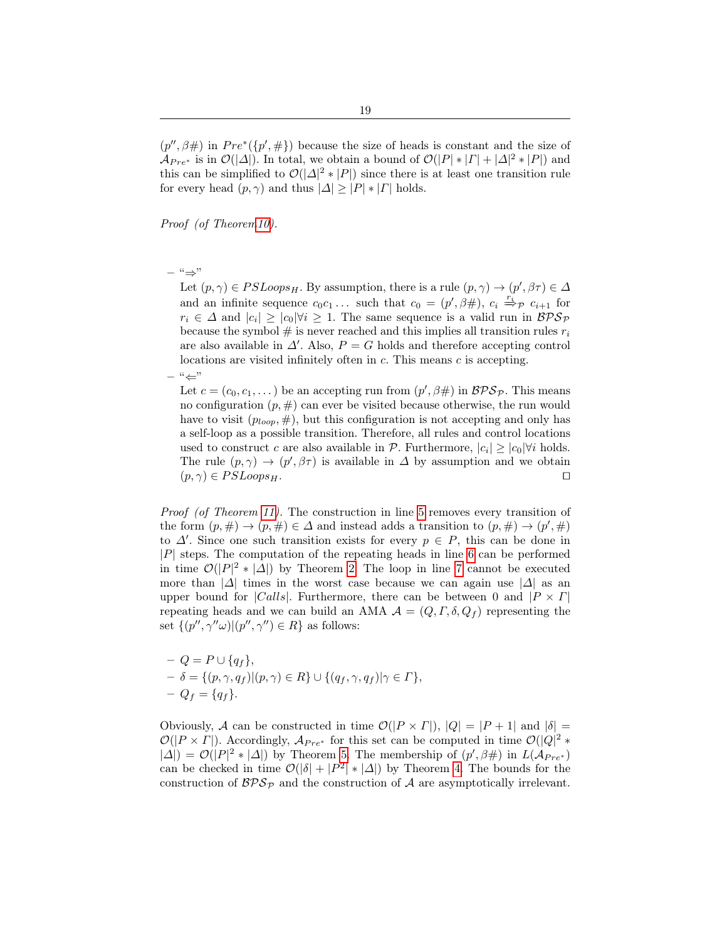19

 $(p'', \beta \#)$  in  $Pre^{*}(\lbrace p', \# \rbrace)$  because the size of heads is constant and the size of  $\mathcal{A}_{Pre^*}$  is in  $\mathcal{O}(|\Delta|)$ . In total, we obtain a bound of  $\mathcal{O}(|P| * |P| + |\Delta|^2 * |P|)$  and this can be simplified to  $\mathcal{O}(|\Delta|^2 * |P|)$  since there is at least one transition rule for every head  $(p, \gamma)$  and thus  $|\Delta| \geq |P| * |F|$  holds.

Proof (of Theore[m10\)](#page-9-1).

#### – "⇒"

Let  $(p, \gamma) \in PSLoops_H$ . By assumption, there is a rule  $(p, \gamma) \to (p', \beta \tau) \in \Delta$ and an infinite sequence  $c_0c_1 \ldots$  such that  $c_0 = (p', \beta\#), c_i \stackrel{r_i}{\Rightarrow}_{\mathcal{P}} c_{i+1}$  for  $r_i \in \Delta$  and  $|c_i| \geq |c_0|\forall i \geq 1$ . The same sequence is a valid run in  $\beta \mathcal{PS}_{\mathcal{P}}$ because the symbol  $\#$  is never reached and this implies all transition rules  $r_i$ are also available in  $\Delta'$ . Also,  $P = G$  holds and therefore accepting control locations are visited infinitely often in c. This means c is accepting.

 $-$  " $\leftarrow$ "

Let  $c = (c_0, c_1, \dots)$  be an accepting run from  $(p', \beta \#)$  in  $\mathcal{BPS}_{\mathcal{P}}$ . This means no configuration  $(p, \#)$  can ever be visited because otherwise, the run would have to visit  $(p_{loop}, \#)$ , but this configuration is not accepting and only has a self-loop as a possible transition. Therefore, all rules and control locations used to construct c are also available in  $P$ . Furthermore,  $|c_i| \ge |c_0|\forall i$  holds. The rule  $(p, \gamma) \to (p', \beta \tau)$  is available in  $\Delta$  by assumption and we obtain  $(p, \gamma) \in PSLoops_H.$ 

Proof (of Theorem [11\)](#page-9-2). The construction in line [5](#page-10-0) removes every transition of the form  $(p, \#) \rightarrow (p, \#) \in \Delta$  and instead adds a transition to  $(p, \#) \rightarrow (p', \#)$ to  $\Delta'$ . Since one such transition exists for every  $p \in P$ , this can be done in  $|P|$  steps. The computation of the repeating heads in line [6](#page-10-0) can be performed in time  $\mathcal{O}(|P|^2 * |\Delta|)$  by Theorem [2.](#page-3-1) The loop in line [7](#page-10-0) cannot be executed more than  $|\Delta|$  times in the worst case because we can again use  $|\Delta|$  as an upper bound for |Calls|. Furthermore, there can be between 0 and  $|P \times \Gamma|$ repeating heads and we can build an AMA  $\mathcal{A} = (Q, \Gamma, \delta, Q_f)$  representing the set  $\{(p'', \gamma''\omega) | (p'', \gamma'') \in R\}$  as follows:

$$
- Q = P \cup \{q_f\},
$$
  

$$
- \delta = \{(p, \gamma, q_f) | (p, \gamma) \in R\} \cup \{(q_f, \gamma, q_f) | \gamma \in \Gamma\},
$$
  

$$
- Q_f = \{q_f\}.
$$

Obviously, A can be constructed in time  $\mathcal{O}(|P \times \Gamma|)$ ,  $|Q| = |P + 1|$  and  $|\delta| =$  $\mathcal{O}(|P \times \Gamma|)$ . Accordingly,  $\mathcal{A}_{Pre^*}$  for this set can be computed in time  $\mathcal{O}(|Q|^2 *$  $|\Delta|$ ) =  $\mathcal{O}(|P|^2 * |\Delta|)$  by Theorem [5.](#page-5-1) The membership of  $(p', \beta \#)$  in  $L(\mathcal{A}_{Pre^*})$ can be checked in time  $\mathcal{O}(|\delta|+|P^2|*|\Delta|)$  by Theorem [4.](#page-5-2) The bounds for the construction of  $BPS_{\mathcal{P}}$  and the construction of A are asymptotically irrelevant.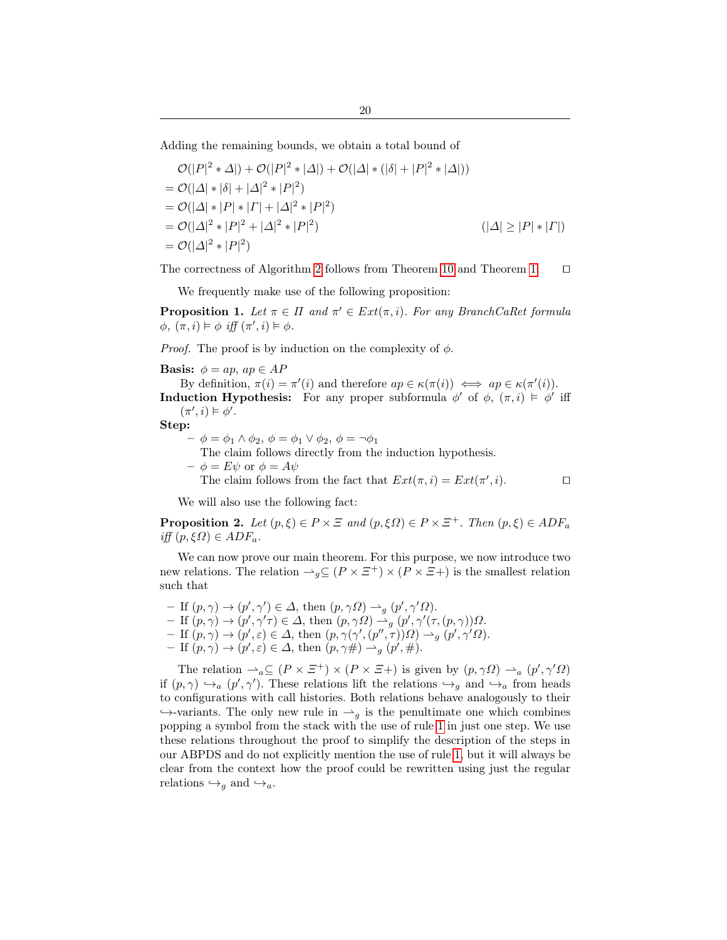Adding the remaining bounds, we obtain a total bound of

$$
\mathcal{O}(|P|^2 * \Delta|) + \mathcal{O}(|P|^2 * |\Delta|) + \mathcal{O}(|\Delta| * (|\delta| + |P|^2 * |\Delta|))
$$
  
=  $\mathcal{O}(|\Delta| * |\delta| + |\Delta|^2 * |P|^2)$   
=  $\mathcal{O}(|\Delta| * |P| * |T| + |\Delta|^2 * |P|^2)$   
=  $\mathcal{O}(|\Delta|^2 * |P|^2 + |\Delta|^2 * |P|^2)$   
=  $\mathcal{O}(|\Delta|^2 * |P|^2)$   $(|\Delta| \ge |P| * |T|)$   
=  $\mathcal{O}(|\Delta|^2 * |P|^2)$ 

The correctness of Algorithm [2](#page-10-0) follows from Theorem [10](#page-9-1) and Theorem [1.](#page-3-2)  $\Box$ 

<span id="page-19-0"></span>We frequently make use of the following proposition:

**Proposition 1.** Let  $\pi \in \Pi$  and  $\pi' \in Ext(\pi, i)$ . For any BranchCaRet formula  $\phi, (\pi, i) \models \phi \text{ iff } (\pi', i) \models \phi.$ 

*Proof.* The proof is by induction on the complexity of  $\phi$ .

**Basis:**  $\phi = ap$ ,  $ap \in AP$ 

By definition,  $\pi(i) = \pi'(i)$  and therefore  $ap \in \kappa(\pi(i)) \iff ap \in \kappa(\pi'(i))$ . **Induction Hypothesis:** For any proper subformula  $\phi'$  of  $\phi$ ,  $(\pi, i) \models \phi'$  iff  $(\pi', i) \models \phi'.$ 

Step:

 $-\phi = \phi_1 \wedge \phi_2, \phi = \phi_1 \vee \phi_2, \phi = \neg \phi_1$ 

The claim follows directly from the induction hypothesis.

- $-\phi = E\psi$  or  $\phi = A\psi$ 
	- The claim follows from the fact that  $Ext(\pi, i) = Ext(\pi', i)$ .

We will also use the following fact:

**Proposition 2.** Let  $(p, \xi) \in P \times \Xi$  and  $(p, \xi \Omega) \in P \times \Xi^+$ . Then  $(p, \xi) \in ADF_a$ iff  $(p, \xi \Omega) \in ADF_a$ .

We can now prove our main theorem. For this purpose, we now introduce two new relations. The relation  $\rightarrow_q \subseteq (P \times \Xi^+) \times (P \times \Xi^+)$  is the smallest relation such that

- If  $(p, \gamma) \to (p', \gamma') \in \Delta$ , then  $(p, \gamma \Omega) \to_g (p', \gamma' \Omega)$ .
- $-If(p,\gamma) \to (p',\gamma'\tau) \in \Delta$ , then  $(p,\gamma\Omega) \to_g (p',\gamma'(\tau,(p,\gamma))\Omega$ .
- $-$  If  $(p, \gamma) \to (p', \varepsilon) \in \Delta$ , then  $(p, \gamma(\gamma', (p'', \tau))\Omega) \to_{g} (p', \gamma'\Omega)$ .
- If  $(p, \gamma) \to (p', \varepsilon) \in \Delta$ , then  $(p, \gamma \#) \to_{g} (p', \#)$ .

The relation  $\triangle_a \subseteq (P \times \Xi^+) \times (P \times \Xi^+)$  is given by  $(p, \gamma \Omega) \triangleq_a (p', \gamma' \Omega)$ if  $(p, \gamma) \hookrightarrow_a (p', \gamma')$ . These relations lift the relations  $\hookrightarrow_g$  and  $\hookrightarrow_a$  from heads to configurations with call histories. Both relations behave analogously to their  $\hookrightarrow$ -variants. The only new rule in  $\rightarrow_g$  is the penultimate one which combines popping a symbol from the stack with the use of rule [1](#page-12-0) in just one step. We use these relations throughout the proof to simplify the description of the steps in our ABPDS and do not explicitly mention the use of rule [1,](#page-12-0) but it will always be clear from the context how the proof could be rewritten using just the regular relations  $\hookrightarrow_q$  and  $\hookrightarrow_a$ .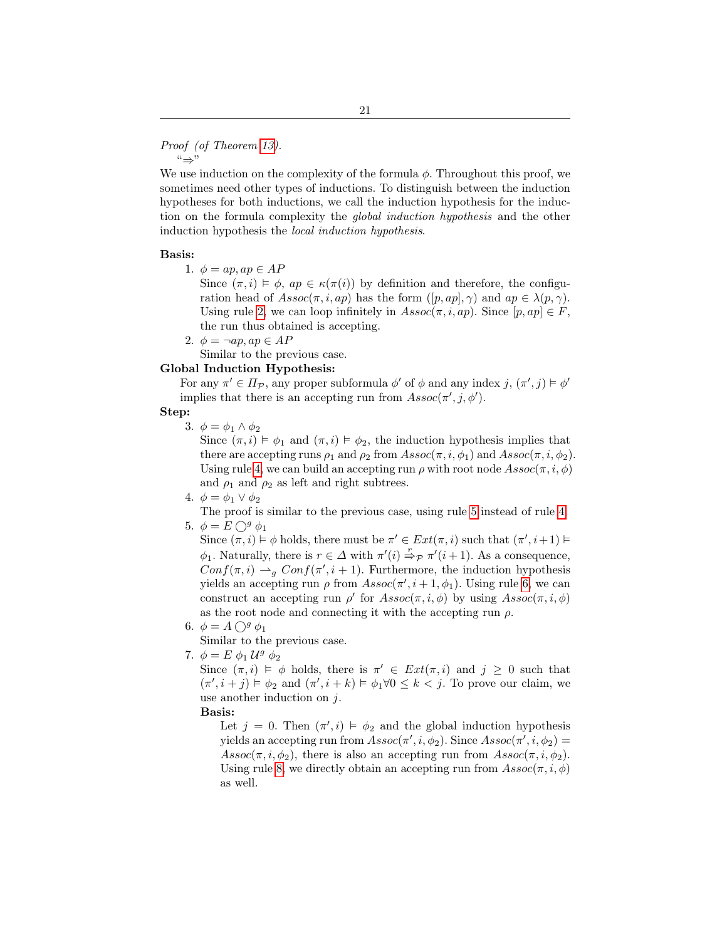#### Proof (of Theorem [13\)](#page-14-0). "⇒"

We use induction on the complexity of the formula  $\phi$ . Throughout this proof, we sometimes need other types of inductions. To distinguish between the induction hypotheses for both inductions, we call the induction hypothesis for the induction on the formula complexity the global induction hypothesis and the other induction hypothesis the local induction hypothesis.

#### Basis:

1.  $\phi = ap, ap \in AP$ 

Since  $(\pi, i) \models \phi$ ,  $ap \in \kappa(\pi(i))$  by definition and therefore, the configuration head of  $Assoc(\pi, i, ap)$  has the form  $([p, ap], \gamma)$  and  $ap \in \lambda(p, \gamma)$ . Using rule [2,](#page-12-1) we can loop infinitely in  $Assoc(\pi, i, ap)$ . Since  $[p, ap] \in F$ , the run thus obtained is accepting.

2.  $\phi = \neg ap, ap \in AP$ 

Similar to the previous case.

# Global Induction Hypothesis:

For any  $\pi' \in \Pi_{\mathcal{P}}$ , any proper subformula  $\phi'$  of  $\phi$  and any index  $j, (\pi', j) \models \phi'$ implies that there is an accepting run from  $\text{Assoc}(\pi', j, \phi')$ .

Step:

3.  $\phi = \phi_1 \wedge \phi_2$ 

Since  $(\pi, i) \models \phi_1$  and  $(\pi, i) \models \phi_2$ , the induction hypothesis implies that there are accepting runs  $\rho_1$  and  $\rho_2$  from  $Assoc(\pi, i, \phi_1)$  and  $Assoc(\pi, i, \phi_2)$ . Using rule [4,](#page-12-2) we can build an accepting run  $\rho$  with root node  $Assoc(\pi, i, \phi)$ and  $\rho_1$  and  $\rho_2$  as left and right subtrees.

4.  $\phi = \phi_1 \vee \phi_2$ 

The proof is similar to the previous case, using rule [5](#page-12-3) instead of rule [4.](#page-12-2) 5.  $\phi = E \bigcirc^g \phi_1$ 

Since  $(\pi, i) \models \phi$  holds, there must be  $\pi' \in Ext(\pi, i)$  such that  $(\pi', i+1) \models$  $\phi_1$ . Naturally, there is  $r \in \Delta$  with  $\pi'(i) \stackrel{r}{\Rightarrow} p \pi'(i+1)$ . As a consequence,  $Conf(\pi, i) \rightarrow_g Conf(\pi', i + 1)$ . Furthermore, the induction hypothesis yields an accepting run  $\rho$  from  $Assoc(\pi', i + 1, \phi_1)$ . Using rule [6,](#page-12-4) we can construct an accepting run  $\rho'$  for  $Assoc(\pi, i, \phi)$  by using  $Assoc(\pi, i, \phi)$ as the root node and connecting it with the accepting run  $\rho$ .

6.  $\phi = A \bigcirc^g \phi_1$ 

Similar to the previous case.

<span id="page-20-0"></span>7.  $\phi = E \phi_1 \mathcal{U}^g \phi_2$ 

Since  $(\pi, i) \models \phi$  holds, there is  $\pi' \in Ext(\pi, i)$  and  $j \geq 0$  such that  $(\pi', i + j) \models \phi_2$  and  $(\pi', i + k) \models \phi_1 \forall 0 \leq k < j$ . To prove our claim, we use another induction on  $j$ .

## Basis:

Let  $j = 0$ . Then  $(\pi', i) \models \phi_2$  and the global induction hypothesis yields an accepting run from  $Assoc(\pi', i, \phi_2)$ . Since  $Assoc(\pi', i, \phi_2)$  $Assoc(\pi, i, \phi_2)$ , there is also an accepting run from  $Assoc(\pi, i, \phi_2)$ . Using rule [8,](#page-12-5) we directly obtain an accepting run from  $Assoc(\pi, i, \phi)$ as well.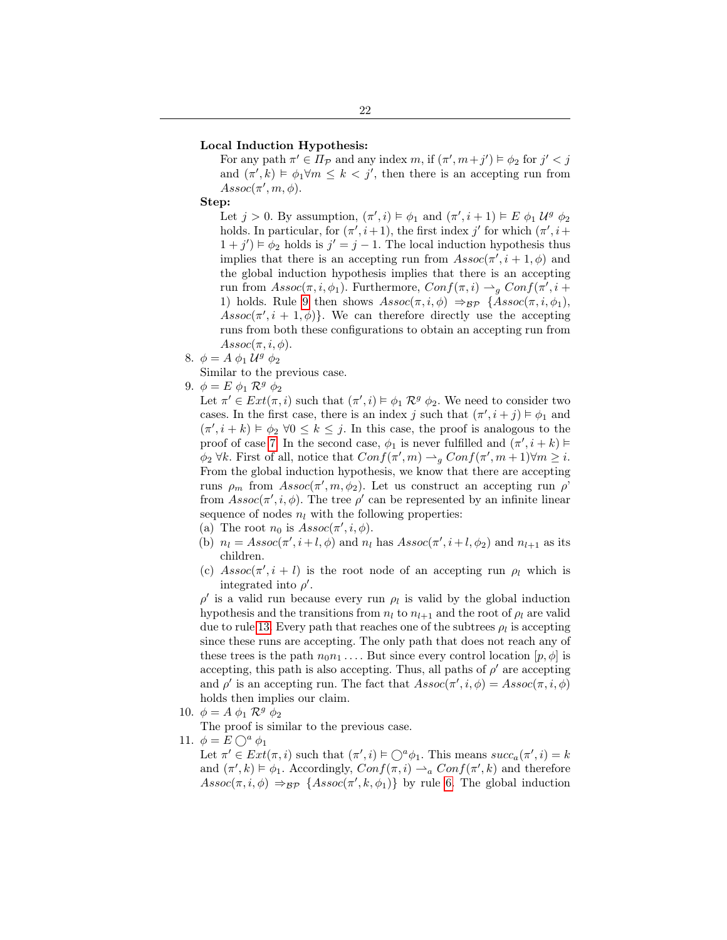#### Local Induction Hypothesis:

For any path  $\pi' \in \overline{\Pi_{\mathcal{P}}}$  and any index  $m$ , if  $(\pi', m+j') \models \phi_2$  for  $j' < j$ and  $(\pi', k) \models \phi_1 \forall m \leq k < j'$ , then there is an accepting run from  $Assoc(\pi', m, \phi).$ 

Step:

Let  $j > 0$ . By assumption,  $(\pi', i) \models \phi_1$  and  $(\pi', i + 1) \models E \phi_1 \mathcal{U}^g \phi_2$ holds. In particular, for  $(\pi', i+1)$ , the first index j' for which  $(\pi', i+1)$  $(1+j') \models \phi_2$  holds is  $j' = j - 1$ . The local induction hypothesis thus implies that there is an accepting run from  $\text{Assoc}(\pi', i + 1, \phi)$  and the global induction hypothesis implies that there is an accepting run from  $Assoc(\pi, i, \phi_1)$ . Furthermore,  $Conf(\pi, i) \rightarrow_g Conf(\pi', i +$ 1) holds. Rule [9](#page-13-5) then shows  $Assoc(\pi, i, \phi) \Rightarrow_{\mathcal{BP}} \{Assoc(\pi, i, \phi_1),$  $Assoc(\pi', i + 1, \phi)$ . We can therefore directly use the accepting runs from both these configurations to obtain an accepting run from  $Assoc(\pi, i, \phi).$ 

- 8.  $\phi = A \phi_1 \mathcal{U}^g \phi_2$ 
	- Similar to the previous case.
- 9.  $\phi = E \phi_1 \mathcal{R}^g \phi_2$

Let  $\pi' \in Ext(\pi, i)$  such that  $(\pi', i) \models \phi_1 \mathcal{R}^g \phi_2$ . We need to consider two cases. In the first case, there is an index j such that  $(\pi', i + j) \models \phi_1$  and  $(\pi', i + k) \models \phi_2 \ \forall 0 \leq k \leq j$ . In this case, the proof is analogous to the proof of case [7.](#page-20-0) In the second case,  $\phi_1$  is never fulfilled and  $(\pi', i + k) \models$  $\phi_2 \forall k$ . First of all, notice that  $Conf(\pi', m) \rightarrow_g Conf(\pi', m + 1) \forall m \geq i$ . From the global induction hypothesis, we know that there are accepting runs  $\rho_m$  from  $Assoc(\pi', m, \phi_2)$ . Let us construct an accepting run  $\rho'$ from  $Assoc(\pi', i, \phi)$ . The tree  $\rho'$  can be represented by an infinite linear sequence of nodes  $n_l$  with the following properties:

(a) The root  $n_0$  is  $Assoc(\pi', i, \phi)$ .

- (b)  $n_l = Assoc(\pi', i+l, \phi)$  and  $n_l$  has  $Assoc(\pi', i+l, \phi_2)$  and  $n_{l+1}$  as its children.
- (c)  $Assoc(\pi', i + l)$  is the root node of an accepting run  $\rho_l$  which is integrated into  $\rho'$ .

 $\rho'$  is a valid run because every run  $\rho_l$  is valid by the global induction hypothesis and the transitions from  $n_l$  to  $n_{l+1}$  and the root of  $\rho_l$  are valid due to rule [13.](#page-13-6) Every path that reaches one of the subtrees  $\rho_l$  is accepting since these runs are accepting. The only path that does not reach any of these trees is the path  $n_0n_1 \ldots$  But since every control location  $[p, \phi]$  is accepting, this path is also accepting. Thus, all paths of  $\rho'$  are accepting and  $\rho'$  is an accepting run. The fact that  $Assoc(\pi', i, \phi) = Assoc(\pi, i, \phi)$ holds then implies our claim.

- 10.  $\phi = A \phi_1 \mathcal{R}^g \phi_2$ 
	- The proof is similar to the previous case.
- <span id="page-21-0"></span>11.  $\phi = E \bigcirc^a \phi_1$

Let  $\pi' \in Ext(\pi, i)$  such that  $(\pi', i) \models \bigcirc^a \phi_1$ . This means  $succ_a(\pi', i) = k$ and  $(\pi', k) \models \phi_1$ . Accordingly,  $Conf(\pi, i) \rightarrow_a Conf(\pi', k)$  and therefore  $Assoc(\pi, i, \phi) \Rightarrow_{\mathcal{BP}} \{Assoc(\pi', k, \phi_1)\}$  by rule [6.](#page-12-4) The global induction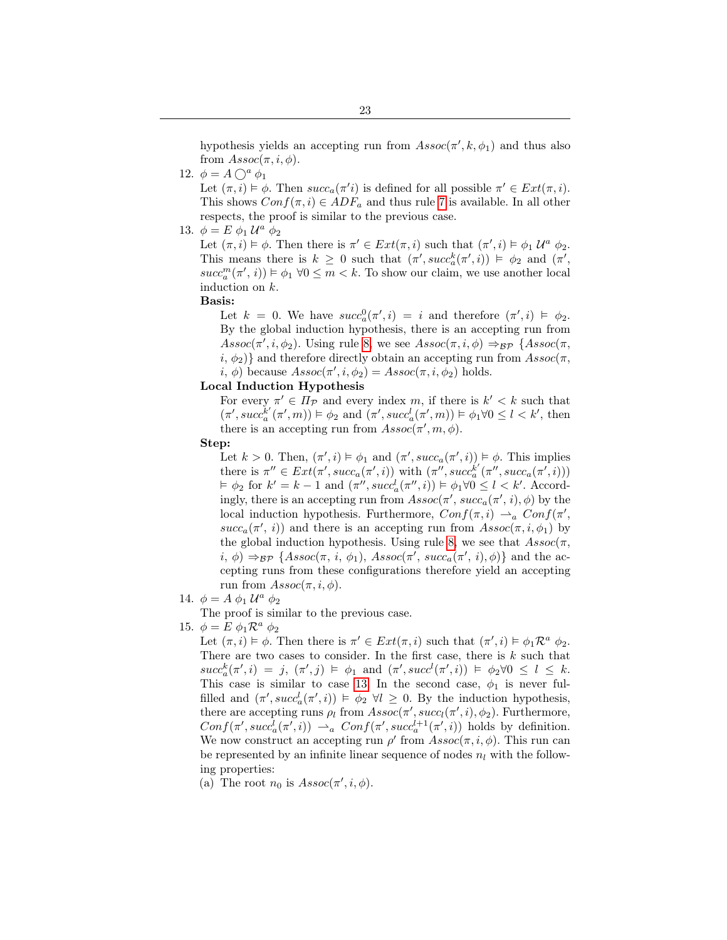12.  $\phi = A \bigcap^a \phi_1$ 

Let  $(\pi, i) \models \phi$ . Then  $succ_a(\pi' i)$  is defined for all possible  $\pi' \in Ext(\pi, i)$ . This shows  $Conf(\pi, i) \in ADF_a$  and thus rule [7](#page-12-6) is available. In all other respects, the proof is similar to the previous case.

<span id="page-22-0"></span>13.  $\phi = E \phi_1 \mathcal{U}^a \phi_2$ 

Let  $(\pi, i) \models \phi$ . Then there is  $\pi' \in Ext(\pi, i)$  such that  $(\pi', i) \models \phi_1 \mathcal{U}^a \phi_2$ . This means there is  $k \geq 0$  such that  $(\pi', succ_{a}^{k}(\pi', i)) \models \phi_2$  and  $(\pi',$  $succ_a^m(\pi', i)) \models \phi_1 \; \forall 0 \leq m < k$ . To show our claim, we use another local induction on k.

Basis:

Let  $k = 0$ . We have  $succ_a^0(\pi', i) = i$  and therefore  $(\pi', i) \models \phi_2$ . By the global induction hypothesis, there is an accepting run from  $Assoc(\pi', i, \phi_2)$ . Using rule [8,](#page-12-5) we see  $Assoc(\pi, i, \phi) \Rightarrow_{BP} \{Assoc(\pi, i, \phi_2)$ .  $i, \phi_2$ } and therefore directly obtain an accepting run from  $Assoc(\pi, \phi_1)$ i,  $\phi$ ) because  $Assoc(\pi', i, \phi_2) = Assoc(\pi, i, \phi_2)$  holds.

## Local Induction Hypothesis

For every  $\pi' \in \Pi_{\mathcal{P}}$  and every index m, if there is  $k' < k$  such that  $(\pi', succ_{a}^{k'}(\pi', m)) \models \phi_2$  and  $(\pi', succ_{a}^{l}(\pi', m)) \models \phi_1 \forall 0 \leq l < k'$ , then there is an accepting run from  $Assoc(\pi', m, \phi)$ .

Step:

Let  $k > 0$ . Then,  $(\pi', i) \models \phi_1$  and  $(\pi', succ_\alpha(\pi', i)) \models \phi$ . This implies there is  $\pi'' \in Ext(\pi', succ_a(\pi', i))$  with  $(\pi'', succ_a^{k'}(\pi'', succ_a(\pi', i)))$  $\models \phi_2$  for  $k' = k - 1$  and  $(\pi'', succ^l_a(\pi'', i)) \models \phi_1 \forall 0 \leq l < k'.$  Accordingly, there is an accepting run from  $Assoc(\pi', succ_{a}(\pi', i), \phi)$  by the local induction hypothesis. Furthermore,  $Conf(\pi, i) \rightharpoonup_a Conf(\pi', i)$  $succ_a(\pi', i)$  and there is an accepting run from  $Assoc(\pi, i, \phi_1)$  by the global induction hypothesis. Using rule [8,](#page-12-5) we see that  $Assoc(\pi,$  $i, \phi$   $\Rightarrow_{\mathcal{BP}}$  { $\text{Assoc}(\pi, i, \phi_1)$ ,  $\text{Assoc}(\pi', \text{succ}_a(\pi', i), \phi)$ } and the accepting runs from these configurations therefore yield an accepting run from  $Assoc(\pi, i, \phi)$ .

14.  $\phi = A \phi_1 U^a \phi_2$ 

The proof is similar to the previous case.

<span id="page-22-1"></span>15.  $\phi = E \phi_1 \mathcal{R}^a \phi_2$ 

Let  $(\pi, i) \models \phi$ . Then there is  $\pi' \in Ext(\pi, i)$  such that  $(\pi', i) \models \phi_1 \mathcal{R}^a \phi_2$ . There are two cases to consider. In the first case, there is  $k$  such that  $succ_a^k(\pi', i) = j, (\pi', j) \models \phi_1 \text{ and } (\pi', succ^l(\pi', i)) \models \phi_2 \forall 0 \le l \le k.$ This case is similar to case [13.](#page-22-0) In the second case,  $\phi_1$  is never fulfilled and  $(\pi', succ^l_{a}(\pi', i)) \models \phi_2 \ \forall l \geq 0$ . By the induction hypothesis, there are accepting runs  $\rho_l$  from  $Assoc(\pi', succ_l(\pi', i), \phi_2)$ . Furthermore,  $Conf(\pi', succ_\alpha^l(\pi', i)) \rightharpoonup_a Conf(\pi', succ_\alpha^{l+1}(\pi', i))$  holds by definition. We now construct an accepting run  $\rho'$  from  $Assoc(\pi, i, \phi)$ . This run can be represented by an infinite linear sequence of nodes  $n_l$  with the following properties:

(a) The root  $n_0$  is  $Assoc(\pi', i, \phi)$ .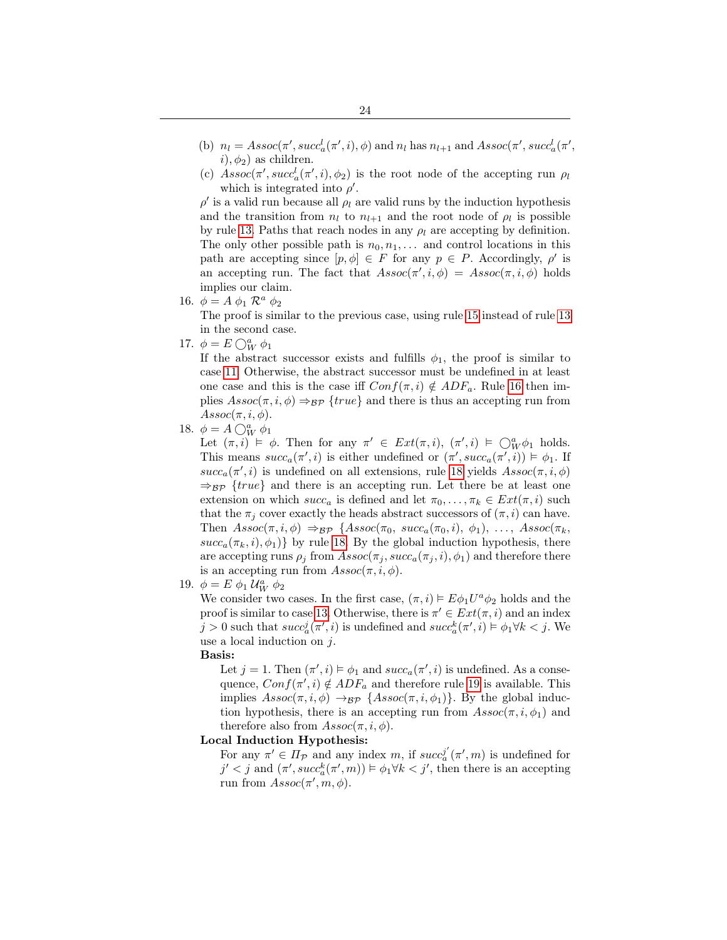- (b)  $n_l = Assoc(\pi', succ^l_a(\pi', i), \phi)$  and  $n_l$  has  $n_{l+1}$  and  $Assoc(\pi', succ^l_a(\pi', i))$  $i), \phi_2$  as children.
- (c)  $Assoc(\pi', succ^l_a(\pi', i), \phi_2)$  is the root node of the accepting run  $\rho_l$ which is integrated into  $\rho'$ .

 $\rho'$  is a valid run because all  $\rho_l$  are valid runs by the induction hypothesis and the transition from  $n_l$  to  $n_{l+1}$  and the root node of  $\rho_l$  is possible by rule [13.](#page-13-6) Paths that reach nodes in any  $\rho_l$  are accepting by definition. The only other possible path is  $n_0, n_1, \ldots$  and control locations in this path are accepting since  $[p, \phi] \in F$  for any  $p \in P$ . Accordingly,  $\rho'$  is an accepting run. The fact that  $Assoc(\pi', i, \phi) = Assoc(\pi, i, \phi)$  holds implies our claim.

16.  $\phi = A \phi_1 \mathcal{R}^a \phi_2$ 

The proof is similar to the previous case, using rule [15](#page-13-0) instead of rule [13](#page-13-6) in the second case.

17.  $\phi = E \bigcirc_W^a \phi_1$ 

If the abstract successor exists and fulfills  $\phi_1$ , the proof is similar to case [11.](#page-21-0) Otherwise, the abstract successor must be undefined in at least one case and this is the case iff  $Conf(\pi, i) \notin ADF_a$ . Rule [16](#page-13-1) then implies  $Assoc(\pi, i, \phi) \Rightarrow_{\mathcal{BP}} \{true\}$  and there is thus an accepting run from  $Assoc(\pi, i, \phi).$ 

18.  $\phi = A \bigcirc_W^a \phi_1$ 

Let  $(\pi, i) \models \phi$ . Then for any  $\pi' \in Ext(\pi, i)$ ,  $(\pi', i) \models \bigcirc^a_W \phi_1$  holds. This means  $succ_a(\pi', i)$  is either undefined or  $(\pi', succ_a(\pi', i)) \models \phi_1$ . If  $succ_a(\pi', i)$  is undefined on all extensions, rule [18](#page-13-7) yields  $Assoc(\pi, i, \phi)$  $\Rightarrow_{\mathcal{BP}}$  {*true*} and there is an accepting run. Let there be at least one extension on which  $succ_a$  is defined and let  $\pi_0, \ldots, \pi_k \in Ext(\pi, i)$  such that the  $\pi_i$  cover exactly the heads abstract successors of  $(\pi, i)$  can have. Then  $Assoc(\pi, i, \phi) \Rightarrow_{\mathcal{BP}} \{Assoc(\pi_0, succ_a(\pi_0, i), \phi_1), \ldots, Assoc(\pi_k,$  $succ_a(\pi_k, i), \phi_1$ } by rule [18.](#page-13-7) By the global induction hypothesis, there are accepting runs  $\rho_i$  from  $Assoc(\pi_i, succ_a(\pi_i, i), \phi_1)$  and therefore there is an accepting run from  $Assoc(\pi, i, \phi)$ .

<span id="page-23-0"></span>19.  $\phi = E \phi_1 \mathcal{U}_W^a \phi_2$ 

We consider two cases. In the first case,  $(\pi, i) \models E\phi_1 U^a \phi_2$  holds and the proof is similar to case [13.](#page-22-0) Otherwise, there is  $\pi' \in Ext(\pi, i)$  and an index  $j > 0$  such that  $succ_a^j(\pi', i)$  is undefined and  $succ_a^k(\pi', i) \models \phi_1 \forall k < j$ . We use a local induction on j.

Basis:

Let  $j = 1$ . Then  $(\pi', i) \models \phi_1$  and  $succ_a(\pi', i)$  is undefined. As a consequence,  $Conf(\pi', i) \notin ADF_a$  and therefore rule [19](#page-13-8) is available. This implies  $Assoc(\pi, i, \phi) \rightarrow_{\mathcal{BP}} \{Assoc(\pi, i, \phi_1)\}$ . By the global induction hypothesis, there is an accepting run from  $\text{Assoc}(\pi, i, \phi_1)$  and therefore also from  $Assoc(\pi, i, \phi)$ .

### Local Induction Hypothesis:

For any  $\pi' \in \Pi_{\mathcal{P}}$  and any index m, if  $succ_a^{j'}(\pi', m)$  is undefined for  $j' < j$  and  $(\pi',succ_a^k(\pi',m)) \models \phi_1 \forall k < j'$ , then there is an accepting run from  $Assoc(\pi', m, \phi)$ .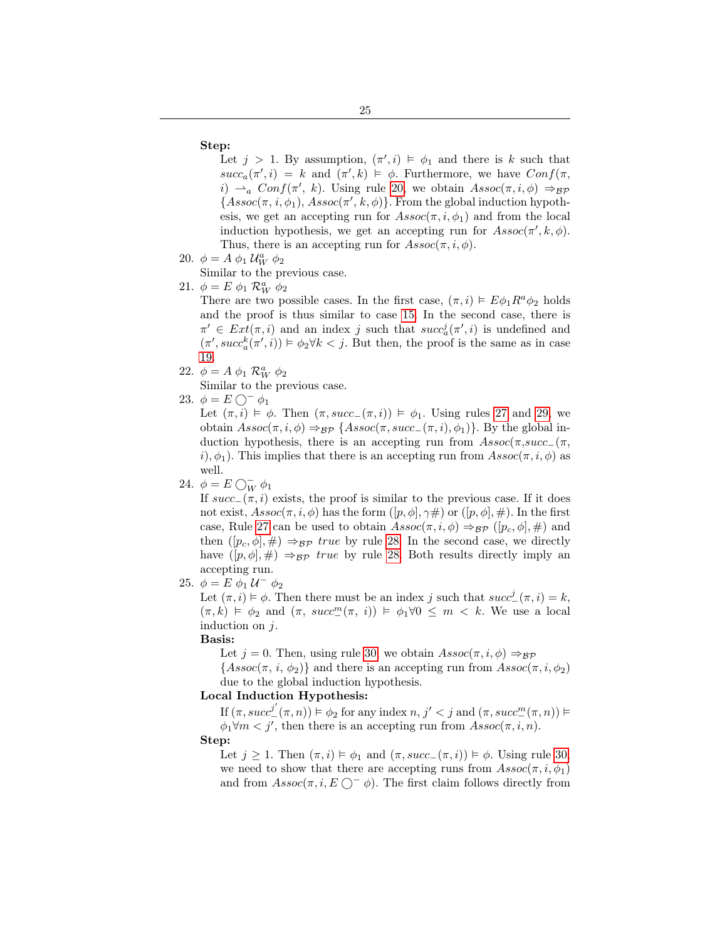### Step:

Let  $j > 1$ . By assumption,  $(\pi', i) \models \phi_1$  and there is k such that  $succ_a(\pi', i) = k$  and  $(\pi', k) \models \phi$ . Furthermore, we have  $Conf(\pi, \pi')$ i)  $\rightarrow_a$  Conf( $\pi'$ , k). Using rule [20,](#page-13-9) we obtain  $Assoc(\pi, i, \phi) \Rightarrow_{\mathcal{BP}}$  $\{Assoc(\pi, i, \phi_1), Assoc(\pi', k, \phi)\}.$  From the global induction hypothesis, we get an accepting run for  $\text{Assoc}(\pi, i, \phi_1)$  and from the local induction hypothesis, we get an accepting run for  $\text{Assoc}(\pi', k, \phi)$ . Thus, there is an accepting run for  $\text{Assoc}(\pi, i, \phi)$ .

- 20.  $\phi = A \phi_1 \mathcal{U}_W^a \phi_2$ 
	- Similar to the previous case.

# 21.  $\phi = E \phi_1 \mathcal{R}_W^a \phi_2$

There are two possible cases. In the first case,  $(\pi, i) \models E\phi_1 R^a \phi_2$  holds and the proof is thus similar to case [15.](#page-22-1) In the second case, there is  $\pi' \in Ext(\pi, i)$  and an index j such that  $succ_a^j(\pi', i)$  is undefined and  $(\pi', succ_{a}^{k}(\pi', i)) \models \phi_2 \forall k < j$ . But then, the proof is the same as in case [19.](#page-23-0)

22.  $\phi = A \phi_1 \mathcal{R}_W^a \phi_2$ 

Similar to the previous case.

23.  $\phi = E \bigcirc^- \phi_1$ 

Let  $(\pi, i) \models \phi$ . Then  $(\pi, succ_-(\pi, i)) \models \phi_1$ . Using rules [27](#page-13-3) and [29,](#page-13-10) we obtain  $Assoc(\pi, i, \phi) \Rightarrow_{\mathcal{BP}} \{Assoc(\pi, succ_-(\pi, i), \phi_1)\}$ . By the global induction hypothesis, there is an accepting run from  $Assoc(\pi, succ_{-}(\pi,$ i),  $\phi_1$ ). This implies that there is an accepting run from  $Assoc(\pi, i, \phi)$  as well.

# 24.  $\phi = E \bigcirc_{W}^{-} \phi_1$

If  $succ_$ (π, i) exists, the proof is similar to the previous case. If it does not exist,  $Assoc(\pi, i, \phi)$  has the form  $([p, \phi], \gamma \#)$  or  $([p, \phi], \#)$ . In the first case, Rule [27](#page-13-3) can be used to obtain  $Assoc(\pi, i, \phi) \Rightarrow_{\mathcal{BP}} (p_c, \phi], \#)$  and then  $([p_c, \phi], \#) \Rightarrow_{\mathcal{BP}} true$  by rule [28.](#page-13-11) In the second case, we directly have  $([p, \phi], \#) \Rightarrow_{\mathcal{BP}} true$  by rule [28.](#page-13-11) Both results directly imply an accepting run.

# 25.  $\phi = E \phi_1 U^{-} \phi_2$

Let  $(\pi, i) \models \phi$ . Then there must be an index j such that  $succ^j(\pi, i) = k$ ,  $(\pi, k) \models \phi_2$  and  $(\pi, succ_{-}^{m}(\pi, i)) \models \phi_1 \forall 0 \leq m \leq k$ . We use a local induction on  $j$ .

## Basis:

Let  $j = 0$ . Then, using rule [30,](#page-13-12) we obtain  $Assoc(\pi, i, \phi) \Rightarrow_{\mathcal{BP}}$ 

 $\{Assoc(\pi, i, \phi_2)\}\$ and there is an accepting run from  $Assoc(\pi, i, \phi_2)$ due to the global induction hypothesis.

## Local Induction Hypothesis:

If  $(\pi, succ^{j'}(\pi, n)) \vDash \phi_2$  for any index  $n, j' < j$  and  $(\pi, succ^m(\pi, n)) \vDash$  $\phi_1 \forall m < j'$ , then there is an accepting run from  $\text{Assoc}(\pi, i, n)$ .

#### Step:

Let  $j \ge 1$ . Then  $(\pi, i) \models \phi_1$  and  $(\pi, succ_-(\pi, i)) \models \phi$ . Using rule [30,](#page-13-12) we need to show that there are accepting runs from  $Assoc(\pi, i, \phi_1)$ and from  $Assoc(\pi, i, E \bigcirc^- \phi)$ . The first claim follows directly from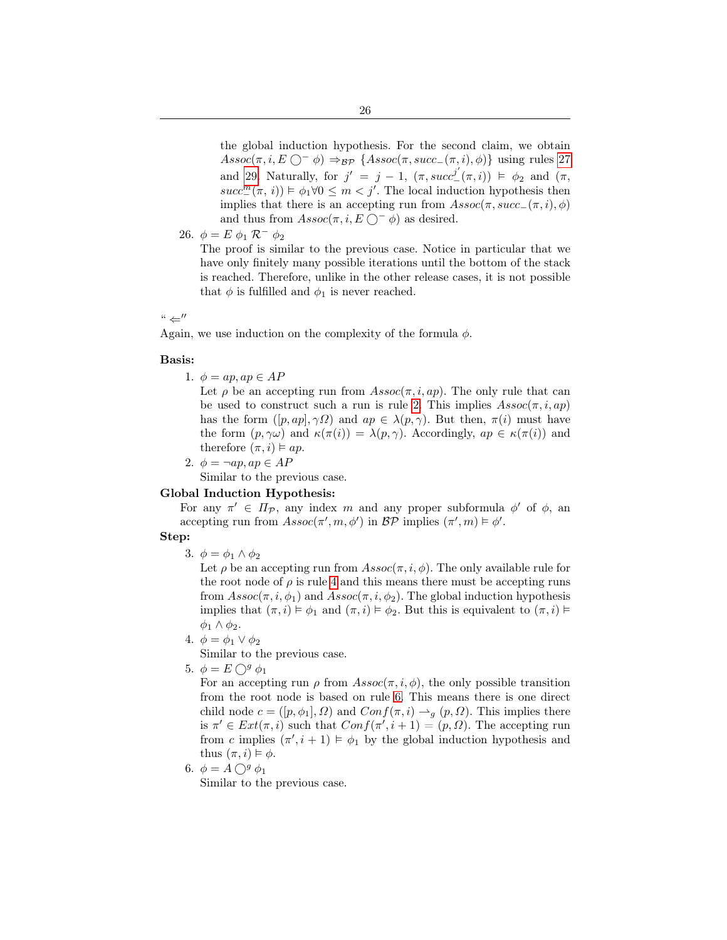the global induction hypothesis. For the second claim, we obtain  $Assoc(\pi, i, E \bigcirc^- \phi) \Rightarrow_{\mathcal{BP}} \{Assoc(\pi, succ_-(\pi, i), \phi)\}$  using rules [27](#page-13-3) and [29.](#page-13-10) Naturally, for  $j' = j - 1$ ,  $(\pi, succ^j'(\pi, i)) \models \phi_2$  and  $(\pi,$  $succ^m_-(\pi, i)$   $\models \phi_1 \forall 0 \leq m < j'$ . The local induction hypothesis then implies that there is an accepting run from  $Assoc(\pi, succ_-(\pi, i), \phi)$ and thus from  $Assoc(\pi, i, E \bigcap^- \phi)$  as desired.

$$
26. \phi = E \phi_1 \mathcal{R}^- \phi_2
$$

The proof is similar to the previous case. Notice in particular that we have only finitely many possible iterations until the bottom of the stack is reached. Therefore, unlike in the other release cases, it is not possible that  $\phi$  is fulfilled and  $\phi_1$  is never reached.

### $``\leftarrow''$

Again, we use induction on the complexity of the formula  $\phi$ .

### Basis:

1.  $\phi = ap$ ,  $ap \in AP$ 

Let  $\rho$  be an accepting run from  $Assoc(\pi, i, ap)$ . The only rule that can be used to construct such a run is rule [2.](#page-12-1) This implies  $\text{Assoc}(\pi, i, ap)$ has the form  $([p, ap], \gamma \Omega)$  and  $ap \in \lambda(p, \gamma)$ . But then,  $\pi(i)$  must have the form  $(p, \gamma\omega)$  and  $\kappa(\pi(i)) = \lambda(p, \gamma)$ . Accordingly,  $ap \in \kappa(\pi(i))$  and therefore  $(\pi, i) \models ap$ .

2.  $\phi = \neg ap, ap \in AP$ 

Similar to the previous case.

## Global Induction Hypothesis:

For any  $\pi' \in \Pi_{\mathcal{P}}$ , any index m and any proper subformula  $\phi'$  of  $\phi$ , an accepting run from  $Assoc(\pi', m, \phi')$  in  $BP$  implies  $(\pi', m) \models \phi'$ .

### Step:

3.  $\phi = \phi_1 \wedge \phi_2$ 

Let  $\rho$  be an accepting run from  $Assoc(\pi, i, \phi)$ . The only available rule for the root node of  $\rho$  is rule [4](#page-12-2) and this means there must be accepting runs from  $Assoc(\pi, i, \phi_1)$  and  $Assoc(\pi, i, \phi_2)$ . The global induction hypothesis implies that  $(\pi, i) \models \phi_1$  and  $(\pi, i) \models \phi_2$ . But this is equivalent to  $(\pi, i) \models$  $\phi_1 \wedge \phi_2$ .

4.  $\phi = \phi_1 \vee \phi_2$ 

Similar to the previous case.

5.  $\phi = E \bigcap^g \phi_1$ 

For an accepting run  $\rho$  from  $Assoc(\pi, i, \phi)$ , the only possible transition from the root node is based on rule [6.](#page-12-4) This means there is one direct child node  $c = ([p, \phi_1], \Omega)$  and  $Conf(\pi, i) \rightarrow_q (p, \Omega)$ . This implies there is  $\pi' \in Ext(\pi, i)$  such that  $Conf(\pi', i + 1) = (p, \Omega)$ . The accepting run from c implies  $(\pi', i+1) \models \phi_1$  by the global induction hypothesis and thus  $(\pi, i) \models \phi$ .

6.  $\phi = A \bigcirc^g \phi_1$ Similar to the previous case.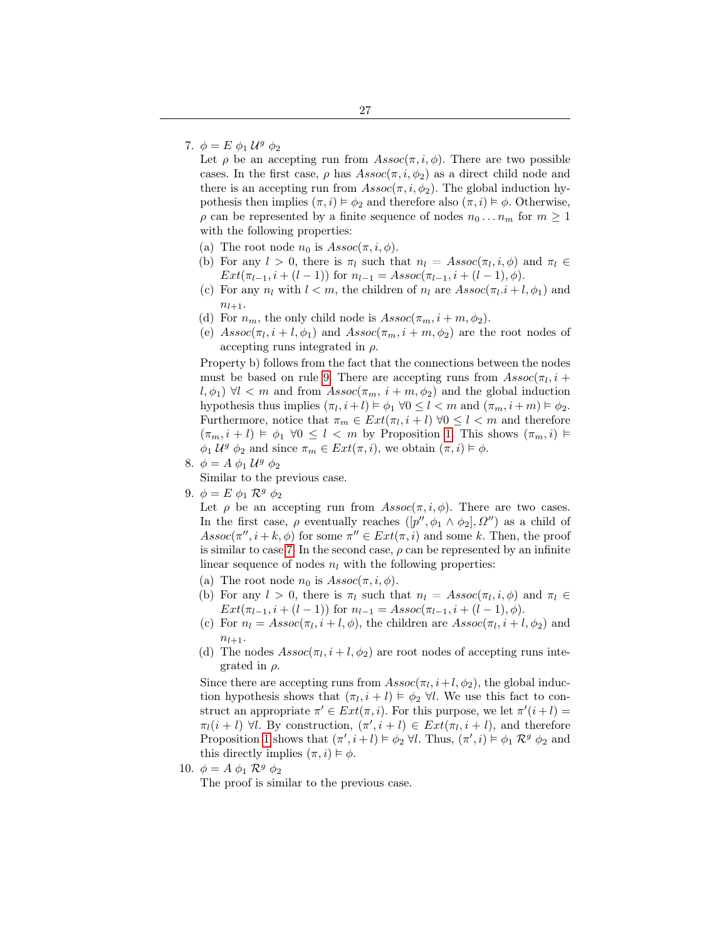<span id="page-26-0"></span>7.  $\phi = E \phi_1 \mathcal{U}^g \phi_2$ 

Let  $\rho$  be an accepting run from  $Assoc(\pi, i, \phi)$ . There are two possible cases. In the first case,  $\rho$  has  $Assoc(\pi, i, \phi_2)$  as a direct child node and there is an accepting run from  $Assoc(\pi, i, \phi_2)$ . The global induction hypothesis then implies  $(\pi, i) \models \phi_2$  and therefore also  $(\pi, i) \models \phi$ . Otherwise,  $\rho$  can be represented by a finite sequence of nodes  $n_0 \dots n_m$  for  $m \geq 1$ with the following properties:

- (a) The root node  $n_0$  is  $Assoc(\pi, i, \phi)$ .
- (b) For any  $l > 0$ , there is  $\pi_l$  such that  $n_l = Assoc(\pi_l, i, \phi)$  and  $\pi_l \in$  $Ext(\pi_{l-1}, i + (l-1))$  for  $n_{l-1} = Assoc(\pi_{l-1}, i + (l-1), \phi)$ .
- (c) For any  $n_l$  with  $l < m$ , the children of  $n_l$  are  $Assoc(\pi_l.i + l, \phi_1)$  and  $n_{l+1}.$
- (d) For  $n_m$ , the only child node is  $Assoc(\pi_m, i + m, \phi_2)$ .
- (e)  $Assoc(\pi_l, i+l, \phi_1)$  and  $Assoc(\pi_m, i+m, \phi_2)$  are the root nodes of accepting runs integrated in  $\rho$ .

Property b) follows from the fact that the connections between the nodes must be based on rule [9.](#page-13-5) There are accepting runs from  $\text{Assoc}(\pi_l, i + \pi_l)$  $l, \phi_1$ )  $\forall l < m$  and from  $Assoc(\pi_m, i + m, \phi_2)$  and the global induction hypothesis thus implies  $(\pi_l, i + l) \models \phi_1 \ \forall 0 \leq l < m$  and  $(\pi_m, i + m) \models \phi_2$ . Furthermore, notice that  $\pi_m \in Ext(\pi_l, i+l)$   $\forall 0 \leq l < m$  and therefore  $(\pi_m, i+l) \models \phi_1 \; \forall 0 \leq l < m$  by Proposition [1.](#page-19-0) This shows  $(\pi_m, i) \models$  $\phi_1 \mathcal{U}^g \phi_2$  and since  $\pi_m \in Ext(\pi, i)$ , we obtain  $(\pi, i) \models \phi$ .

8.  $\phi = A \phi_1 U^g \phi_2$ 

Similar to the previous case.

9.  $\phi = E \phi_1 \mathcal{R}^g \phi_2$ 

Let  $\rho$  be an accepting run from  $Assoc(\pi, i, \phi)$ . There are two cases. In the first case,  $\rho$  eventually reaches  $([p'', \phi_1 \wedge \phi_2], \Omega'')$  as a child of  $Assoc(\pi'', i + k, \phi)$  for some  $\pi'' \in Ext(\pi, i)$  and some k. Then, the proof is similar to case [7.](#page-26-0) In the second case,  $\rho$  can be represented by an infinite linear sequence of nodes  $n_l$  with the following properties:

- (a) The root node  $n_0$  is  $Assoc(\pi, i, \phi)$ .
- (b) For any  $l > 0$ , there is  $\pi_l$  such that  $n_l = Assoc(\pi_l, i, \phi)$  and  $\pi_l \in$  $Ext(\pi_{l-1}, i + (l-1))$  for  $n_{l-1} = Assoc(\pi_{l-1}, i + (l-1), \phi)$ .
- (c) For  $n_l = Assoc(\pi_l, i+l, \phi)$ , the children are  $Assoc(\pi_l, i+l, \phi_2)$  and  $n_{l+1}$ .
- (d) The nodes  $Assoc(\pi_l, i + l, \phi_2)$  are root nodes of accepting runs integrated in  $\rho$ .

Since there are accepting runs from  $Assoc(\pi_l, i+l, \phi_2)$ , the global induction hypothesis shows that  $(\pi_l, i+l) \models \phi_2 \ \forall l$ . We use this fact to construct an appropriate  $\pi' \in Ext(\pi, i)$ . For this purpose, we let  $\pi'(i+l)$  $\pi_l(i+l)$   $\forall l$ . By construction,  $(\pi', i+l) \in Ext(\pi_l, i+l)$ , and therefore Proposition [1](#page-19-0) shows that  $(\pi', i+l) \models \phi_2 \ \forall l$ . Thus,  $(\pi', i) \models \phi_1 \ \mathcal{R}^g \ \phi_2$  and this directly implies  $(\pi, i) \models \phi$ .

10.  $\phi = A \phi_1 \mathcal{R}^g \phi_2$ 

The proof is similar to the previous case.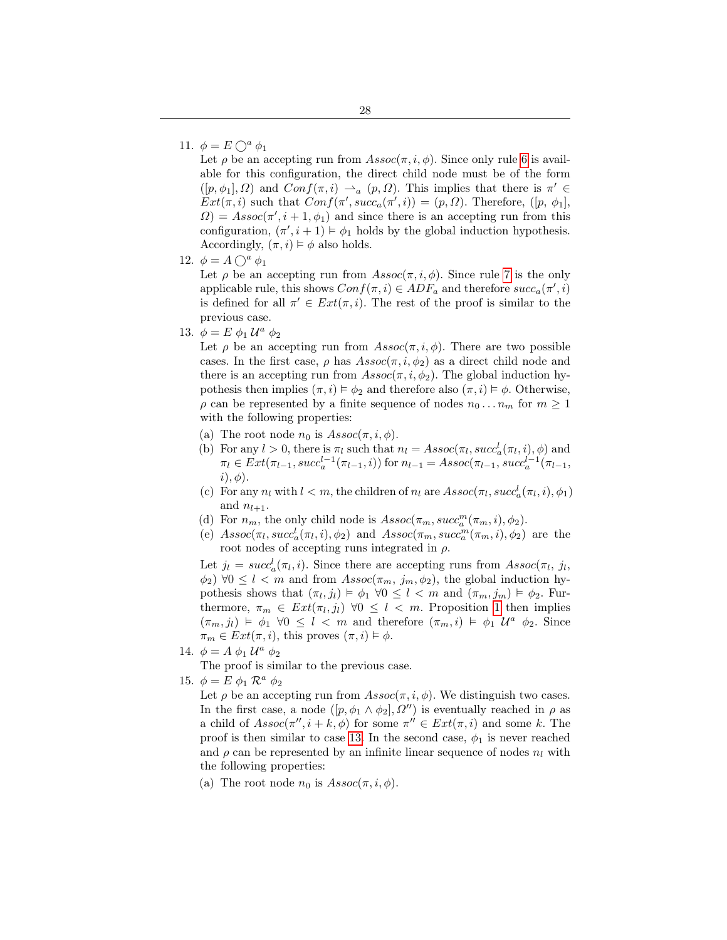## <span id="page-27-1"></span>11.  $\phi = E \bigcap^{a} \phi_1$

Let  $\rho$  be an accepting run from  $Assoc(\pi, i, \phi)$ . Since only rule [6](#page-12-4) is available for this configuration, the direct child node must be of the form  $([p, \phi_1], \Omega)$  and  $Conf(\pi, i) \rightharpoonup_a (p, \Omega)$ . This implies that there is  $\pi' \in$  $Ext(\pi, i)$  such that  $Conf(\pi', succ_\alpha(\pi', i)) = (p, \Omega)$ . Therefore,  $([p, \phi_1],$  $\Omega$ ) = Assoc( $\pi', i + 1, \phi_1$ ) and since there is an accepting run from this configuration,  $(\pi', i+1) \models \phi_1$  holds by the global induction hypothesis. Accordingly,  $(\pi, i) \models \phi$  also holds.

12.  $\phi = A \bigcirc^a \phi_1$ 

Let  $\rho$  be an accepting run from  $Assoc(\pi, i, \phi)$ . Since rule [7](#page-12-6) is the only applicable rule, this shows  $Conf(\pi, i) \in ADF_a$  and therefore  $succ_a(\pi', i)$ is defined for all  $\pi' \in Ext(\pi, i)$ . The rest of the proof is similar to the previous case.

<span id="page-27-0"></span>13.  $\phi = E \phi_1 \mathcal{U}^a \phi_2$ 

Let  $\rho$  be an accepting run from  $Assoc(\pi, i, \phi)$ . There are two possible cases. In the first case,  $\rho$  has  $Assoc(\pi, i, \phi_2)$  as a direct child node and there is an accepting run from  $Assoc(\pi, i, \phi_2)$ . The global induction hypothesis then implies  $(\pi, i) \models \phi_2$  and therefore also  $(\pi, i) \models \phi$ . Otherwise,  $\rho$  can be represented by a finite sequence of nodes  $n_0 \dots n_m$  for  $m \ge 1$ with the following properties:

- (a) The root node  $n_0$  is  $Assoc(\pi, i, \phi)$ .
- (b) For any  $l > 0$ , there is  $\pi_l$  such that  $n_l = Assoc(\pi_l, succ_a^l(\pi_l, i), \phi)$  and  $\pi_l \in Ext(\pi_{l-1}, succ_a^{l-1}(\pi_{l-1}, i))$  for  $n_{l-1} = Assoc(\pi_{l-1}, succ_a^{l-1}(\pi_{l-1},$  $i), \phi$ ).
- (c) For any  $n_l$  with  $l < m$ , the children of  $n_l$  are  $Assoc(\pi_l, succ_a^l(\pi_l, i), \phi_1)$ and  $n_{l+1}$ .
- (d) For  $n_m$ , the only child node is  $Assoc(\pi_m, succ^m_a(\pi_m, i), \phi_2)$ .
- (e)  $Assoc(\pi_l, succ_a^l(\pi_l, i), \phi_2)$  and  $Assoc(\pi_m, succ_a^m(\pi_m, i), \phi_2)$  are the root nodes of accepting runs integrated in  $\rho$ .

Let  $j_l = succ_a^l(\pi_l, i)$ . Since there are accepting runs from  $Assoc(\pi_l, j_l, j_l)$  $\phi_2$ )  $\forall 0 \leq l < m$  and from  $Assoc(\pi_m, j_m, \phi_2)$ , the global induction hypothesis shows that  $(\pi_l, j_l) \models \phi_1 \; \forall 0 \leq l < m$  and  $(\pi_m, j_m) \models \phi_2$ . Furthermore,  $\pi_m \in Ext(\pi_l, j_l) \ \forall 0 \leq l \ < m$ . Proposition [1](#page-19-0) then implies  $(\pi_m, j_l) \models \phi_1 \ \forall 0 \leq l < m$  and therefore  $(\pi_m, i) \models \phi_1 \ \mathcal{U}^a \ \phi_2$ . Since  $\pi_m \in Ext(\pi, i)$ , this proves  $(\pi, i) \models \phi$ .

14.  $\phi = A \phi_1 U^a \phi_2$ 

The proof is similar to the previous case.

<span id="page-27-2"></span>15.  $\phi = E \phi_1 \mathcal{R}^a \phi_2$ 

Let  $\rho$  be an accepting run from  $Assoc(\pi, i, \phi)$ . We distinguish two cases. In the first case, a node  $([p, \phi_1 \wedge \phi_2], \Omega'')$  is eventually reached in  $\rho$  as a child of  $Assoc(\pi'', i + k, \phi)$  for some  $\pi'' \in Ext(\pi, i)$  and some k. The proof is then similar to case [13.](#page-27-0) In the second case,  $\phi_1$  is never reached and  $\rho$  can be represented by an infinite linear sequence of nodes  $n_l$  with the following properties:

(a) The root node  $n_0$  is  $Assoc(\pi, i, \phi)$ .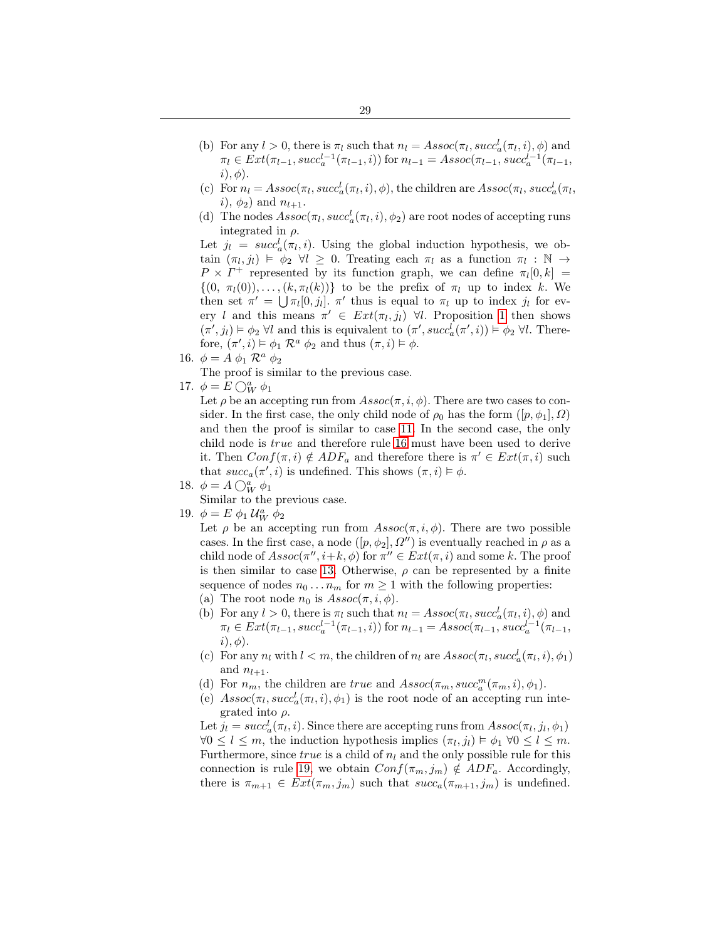- (b) For any  $l > 0$ , there is  $\pi_l$  such that  $n_l = Assoc(\pi_l, succ_a^l(\pi_l, i), \phi)$  and  $\pi_l \in Ext(\pi_{l-1}, succ_a^{l-1}(\pi_{l-1}, i))$  for  $n_{l-1} = Assoc(\pi_{l-1}, succ_a^{l-1}(\pi_{l-1},$  $i), \phi$ ).
- (c) For  $n_l = Assoc(\pi_l, succ_a^l(\pi_l, i), \phi)$ , the children are  $Assoc(\pi_l, succ_a^l(\pi_l,$ *i*),  $\phi_2$ ) and  $n_{l+1}$ .
- (d) The nodes  $Assoc(\pi_l, succ_a^l(\pi_l, i), \phi_2)$  are root nodes of accepting runs integrated in  $\rho$ .

Let  $j_l = succ_a^l(\pi_l, i)$ . Using the global induction hypothesis, we obtain  $(\pi_l, j_l) \models \phi_2 \ \forall l \geq 0$ . Treating each  $\pi_l$  as a function  $\pi_l : \mathbb{N} \to$  $P \times \Gamma^+$  represented by its function graph, we can define  $\pi_l[0, k] =$  $\{(0, \pi_l(0)), \ldots, (k, \pi_l(k))\}\)$  to be the prefix of  $\pi_l$  up to index k. We then set  $\pi' = \bigcup \pi_l[0, j_l]$ .  $\pi'$  thus is equal to  $\pi_l$  up to index  $j_l$  for every l and this means  $\pi' \in Ext(\pi_l, j_l)$   $\forall l$ . Proposition [1](#page-19-0) then shows  $(\pi', j_l) \models \phi_2 \; \forall l$  and this is equivalent to  $(\pi', succ_a^l(\pi', i)) \models \phi_2 \; \forall l$ . Therefore,  $(\pi', i) \models \phi_1 \mathcal{R}^a \phi_2$  and thus  $(\pi, i) \models \phi$ .

16.  $\phi = A \phi_1 \mathcal{R}^a \phi_2$ 

The proof is similar to the previous case.

17.  $\phi = E \bigcirc_W^a \phi_1$ 

Let  $\rho$  be an accepting run from  $Assoc(\pi, i, \phi)$ . There are two cases to consider. In the first case, the only child node of  $\rho_0$  has the form  $([p, \phi_1], \Omega)$ and then the proof is similar to case [11.](#page-27-1) In the second case, the only child node is true and therefore rule [16](#page-13-1) must have been used to derive it. Then  $Conf(\pi, i) \notin ADF_a$  and therefore there is  $\pi' \in Ext(\pi, i)$  such that  $succ_a(\pi', i)$  is undefined. This shows  $(\pi, i) \models \phi$ .

18.  $\phi = A \bigcirc_W^a \phi_1$ 

Similar to the previous case.

<span id="page-28-0"></span>19.  $\phi = E \phi_1 \mathcal{U}_W^a \phi_2$ 

Let  $\rho$  be an accepting run from  $Assoc(\pi, i, \phi)$ . There are two possible cases. In the first case, a node  $([p, \phi_2], \Omega'')$  is eventually reached in  $\rho$  as a child node of  $Assoc(\pi'', i+k, \phi)$  for  $\pi'' \in Ext(\pi, i)$  and some k. The proof is then similar to case [13.](#page-27-0) Otherwise,  $\rho$  can be represented by a finite sequence of nodes  $n_0 \ldots n_m$  for  $m \geq 1$  with the following properties: (a) The root node  $n_0$  is  $Assoc(\pi, i, \phi)$ .

- (b) For any  $l > 0$ , there is  $\pi_l$  such that  $n_l = Assoc(\pi_l, succ_a^l(\pi_l, i), \phi)$  and  $\pi_l \in Ext(\pi_{l-1}, succ_a^{l-1}(\pi_{l-1}, i))$  for  $n_{l-1} = Assoc(\pi_{l-1}, succ_a^{l-1}(\pi_{l-1},$  $i), \phi$ ).
- (c) For any  $n_l$  with  $l < m$ , the children of  $n_l$  are  $Assoc(\pi_l, succ_a^l(\pi_l, i), \phi_1)$ and  $n_{l+1}$ .
- (d) For  $n_m$ , the children are *true* and  $Assoc(\pi_m, succ^m_a(\pi_m, i), \phi_1)$ .
- (e)  $Assoc(\pi_l, succ_a^l(\pi_l, i), \phi_1)$  is the root node of an accepting run integrated into  $\rho$ .

Let  $j_l = succ_a^l(\pi_l, i)$ . Since there are accepting runs from  $Assoc(\pi_l, j_l, \phi_1)$  $\forall 0 \leq l \leq m$ , the induction hypothesis implies  $(\pi_l, j_l) \models \phi_1 \ \forall 0 \leq l \leq m$ . Furthermore, since  $true$  is a child of  $n_l$  and the only possible rule for this connection is rule [19,](#page-13-8) we obtain  $Conf(\pi_m, j_m) \notin ADF_a$ . Accordingly, there is  $\pi_{m+1} \in Ext(\pi_m, j_m)$  such that  $succ_a(\pi_{m+1}, j_m)$  is undefined.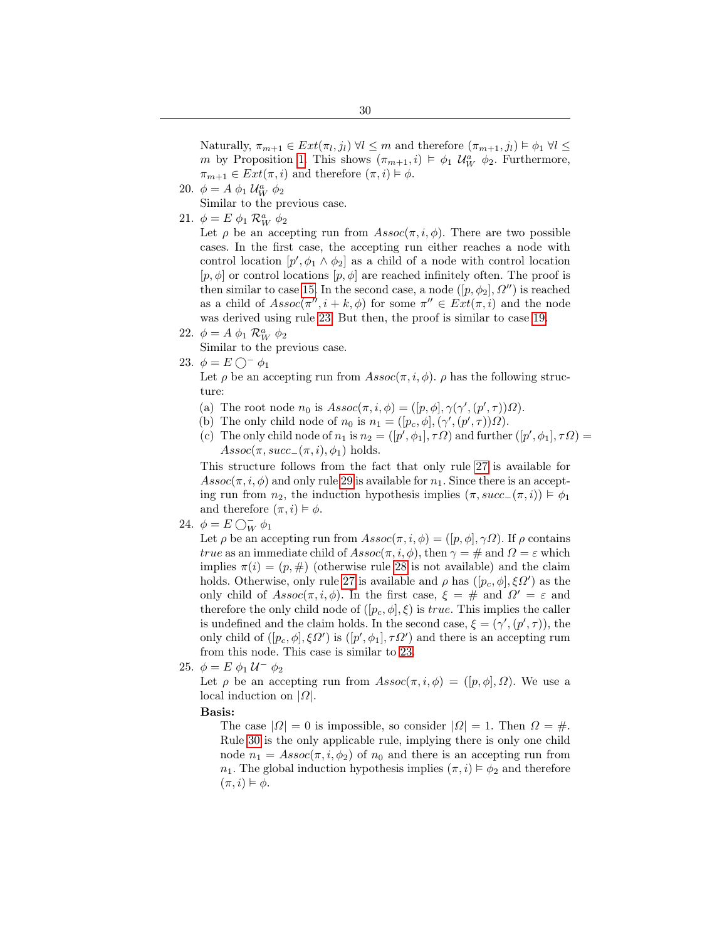Naturally,  $\pi_{m+1} \in Ext(\pi_l, j_l) \ \forall l \leq m$  and therefore  $(\pi_{m+1}, j_l) \models \phi_1 \ \forall l \leq$ m by Proposition [1.](#page-19-0) This shows  $(\pi_{m+1}, i) \models \phi_1 \mathcal{U}_W^a \phi_2$ . Furthermore,  $\pi_{m+1} \in Ext(\pi, i)$  and therefore  $(\pi, i) \models \phi$ .

20.  $\phi = A \phi_1 \mathcal{U}_W^a \phi_2$ 

Similar to the previous case.

21.  $\phi = E \phi_1 \mathcal{R}_W^a \phi_2$ 

Let  $\rho$  be an accepting run from  $Assoc(\pi, i, \phi)$ . There are two possible cases. In the first case, the accepting run either reaches a node with control location  $[p', \phi_1 \wedge \phi_2]$  as a child of a node with control location  $[p, \phi]$  or control locations  $[p, \phi]$  are reached infinitely often. The proof is then similar to case [15.](#page-27-2) In the second case, a node  $([p, \phi_2], \Omega'')$  is reached as a child of  $Assoc(\pi'', i + k, \phi)$  for some  $\pi'' \in Ext(\pi, i)$  and the node was derived using rule [23.](#page-13-13) But then, the proof is similar to case [19.](#page-28-0)

22.  $\phi = A \phi_1 \mathcal{R}_W^a \phi_2$ 

Similar to the previous case.

<span id="page-29-0"></span>23.  $\phi = E \bigcap^{-} \phi_1$ 

Let  $\rho$  be an accepting run from  $Assoc(\pi, i, \phi)$ .  $\rho$  has the following structure:

- (a) The root node  $n_0$  is  $Assoc(\pi, i, \phi) = ([p, \phi], \gamma(\gamma', (p', \tau))\Omega)$ .
- (b) The only child node of  $n_0$  is  $n_1 = ([p_c, \phi], (\gamma', (p', \tau))\Omega)$ .
- (c) The only child node of  $n_1$  is  $n_2 = ([p', \phi_1], \tau \Omega)$  and further  $([p', \phi_1], \tau \Omega) =$  $Assoc(\pi, succ_-(\pi,i), \phi_1)$  holds.

This structure follows from the fact that only rule [27](#page-13-3) is available for  $Assoc(\pi, i, \phi)$  and only rule [29](#page-13-10) is available for  $n_1$ . Since there is an accepting run from  $n_2$ , the induction hypothesis implies  $(\pi, succ_-(\pi, i)) \models \phi_1$ and therefore  $(\pi, i) \models \phi$ .

24.  $\phi = E \bigcirc_{W}^{-} \phi_1$ 

Let  $\rho$  be an accepting run from  $Assoc(\pi, i, \phi) = ([p, \phi], \gamma \Omega)$ . If  $\rho$  contains *true* as an immediate child of  $Assoc(\pi, i, \phi)$ , then  $\gamma = \text{\#}$  and  $\Omega = \varepsilon$  which implies  $\pi(i) = (p, \#)$  (otherwise rule [28](#page-13-11) is not available) and the claim holds. Otherwise, only rule [27](#page-13-3) is available and  $\rho$  has  $([p_c, \phi], \xi \Omega')$  as the only child of  $Assoc(\pi, i, \phi)$ . In the first case,  $\xi = #$  and  $\Omega' = \varepsilon$  and therefore the only child node of  $([p_c, \phi], \xi)$  is *true*. This implies the caller is undefined and the claim holds. In the second case,  $\xi = (\gamma', (p', \tau))$ , the only child of  $([p_c, \phi], \xi \Omega')$  is  $([p', \phi_1], \tau \Omega')$  and there is an accepting rum from this node. This case is similar to [23.](#page-29-0)

25.  $\phi = E \phi_1 U^{-} \phi_2$ 

Let  $\rho$  be an accepting run from  $Assoc(\pi, i, \phi) = ([p, \phi], \Omega)$ . We use a local induction on  $|\Omega|$ .

Basis:

The case  $|Q| = 0$  is impossible, so consider  $|Q| = 1$ . Then  $\Omega = \#$ . Rule [30](#page-13-12) is the only applicable rule, implying there is only one child node  $n_1 = Assoc(\pi, i, \phi_2)$  of  $n_0$  and there is an accepting run from  $n_1$ . The global induction hypothesis implies  $(\pi, i) \models \phi_2$  and therefore  $(\pi, i) \models \phi$ .